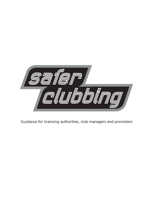

Guidance for licensing authorities, club managers and promoters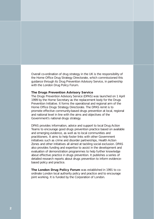Overall co-ordination of drug strategy in the UK is the responsibility of the Home Office Drug Strategy Directorate, which commissioned this guidance through its Drug Prevention Advisory Service, in partnership with the London Drug Policy Forum.

### **The Drugs Prevention Advisory Service**

The Drugs Prevention Advisory Service (DPAS) was launched on 1 April 1999 by the Home Secretary as the replacement body for the Drugs Prevention Initiative. It forms the operational and regional arm of the Home Office Drugs Strategy Directorate. The DPAS remit is to promote effective community-based drugs prevention at local, regional and national level in line with the aims and objectives of the Government's national drugs strategy.

DPAS provides information, advice and support to local Drug Action Teams to encourage good drugs prevention practice based on available and emerging evidence, as well as to local communities and practitioners. It aims to help foster links with other Government initiatives such as crime and disorder partnerships, Health Action Zones and other initiatives all aimed at tackling social exclusion. DPAS also provides funding and expertise to assist in the development and evaluation of demonstration programmes to help further knowledge about effective practice in drugs prevention. It publishes a series of detailed research reports about drugs prevention to inform evidencebased policy and practice.

**The London Drug Policy Forum** was established in 1991 to coordinate London local authority policy and practice and to encourage joint working. It is funded by the Corporation of London.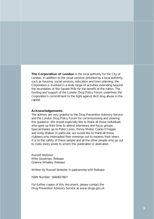**The Corporation of London** is the local authority for the City of London. In addition to the usual services provided by a local authority, such as housing, social services, education and town planning, the Corporation is involved in a wide range of activities extending beyond the boundaries of the Square Mile for the benefit of the nation. The funding and support of the London Drug Policy Forum underlines the Corporation's commitment to the fight against illicit drug abuse in the capital.

### **Acknowledgements**

The authors are very grateful to the Drug Prevention Advisory Service and the London Drug Policy Forum for commissioning and steering this guidance. We would especially like to thank all those individuals who gave up their time to attend interviews and focus groups. Special thanks go to Peter Jones, Penny Mellor, Ciaran O'Hagan and Andy Walker. In particular, we would like to thank all those clubbers who interrupted their evenings out to express their views. It is to the safety of these people and all the other people who go out to clubs every week to whom this publication is dedicated.

Russell Webster Mike Goodman, Release Grainne Whalley, Release

Written by Russell Webster in partnership with Release

ISBN Number: 1840827807

For further copies of this document, please contact the Drug Prevention Advisory Service at www.drugs.gov.uk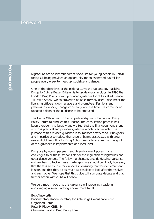### Foreword

Nightclubs are an inherent part of social life for young people in Britain today. Clubbing provides an opportunity for an estimated 3.8 million people every week to meet up, socialise and dance.

One of the objectives of the national 10 year drug strategy 'Tackling Drugs to Build a Better Britain', is to tackle drugs in clubs. In 1996 the London Drug Policy Forum produced guidance for clubs called 'Dance Till Dawn Safely' which proved to be an extremely useful document for licensing officers, club managers and promoters. Fashions and patterns in clubbing change constantly, and the time has come for an updated edition of the guidance to be produced.

The Home Office has worked in partnership with the London Drug Policy Forum to produce this update. The consultation process has been thorough and lengthy and we feel that the final document is one which is practical and provides guidance which is achievable. The purpose of this revised guidance is to improve safety for all club goers and in particular to reduce the range of harms associated with drug use and clubbing. It is for Drug Action Teams to ensure that the spirit of this guidance is implemented at a local level.

Drug use by young people in a club environment poses many challenges to all those responsible for the regulation of nightclubs and other dance venues. The following chapters provide detailed guidance on how best to tackle these challenges. We should point out, however, that there is a key role for clubbers in ensuring that their environment is safe, and that they do as much as possible to look after themselves, and each other. We hope that this guide will stimulate debate and that further action with clubs will follow.

We very much hope that this guidance will prove invaluable in encouraging a safer clubbing environment for all.

Bob Ainsworth Parliamentary Under-Secretary for Anti-Drugs Co-ordination and Organised Crime Peter P. Rigby, CBE, JP Chairman, London Drug Policy Forum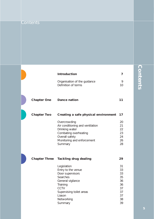|                      | <b>Introduction</b>                                                                                                                                                       | 7                                                              |
|----------------------|---------------------------------------------------------------------------------------------------------------------------------------------------------------------------|----------------------------------------------------------------|
|                      | Organisation of the guidance<br>Definition of terms                                                                                                                       | 9<br>10                                                        |
| <b>Chapter One</b>   | <b>Dance nation</b>                                                                                                                                                       | 11                                                             |
| <b>Chapter Two</b>   | Creating a safe physical environment                                                                                                                                      | 17                                                             |
|                      | Overcrowding<br>Air conditioning and ventilation<br>Drinking water<br>Combating overheating<br>Overall safety<br>Monitoring and enforcement<br>Summary                    | 20<br>21<br>22<br>23<br>24<br>26<br>28                         |
| <b>Chapter Three</b> | <b>Tackling drug dealing</b>                                                                                                                                              | 29                                                             |
|                      | Legislation<br>Entry to the venue<br>Door supervisors<br>Searches<br>General vigilance<br>Training<br>CCTV<br>Supervising toilet areas<br>Liason<br>Networking<br>Summary | 31<br>33<br>33<br>35<br>36<br>36<br>37<br>37<br>37<br>38<br>39 |

## **Contents Contents**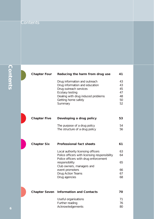| <b>Chapter Four</b>  | Reducing the harm from drug use                                                                                              | 41                   |
|----------------------|------------------------------------------------------------------------------------------------------------------------------|----------------------|
|                      | Drug information and outreach<br>Drug information and education<br>Drug outreach services<br>Ecstasy testing                 | 43<br>43<br>45<br>47 |
|                      | Dealing with drug induced problems<br>Getting home safely<br>Summary                                                         | 48<br>50<br>52       |
| <b>Chapter Five</b>  | Developing a drug policy                                                                                                     | 53                   |
|                      | The purpose of a drug policy<br>The structure of a drug policy                                                               | 54<br>56             |
| <b>Chapter Six</b>   | <b>Professional fact sheets</b>                                                                                              | 61                   |
|                      | Local authority licensing officers<br>Police officers with licensing responsibility<br>Police officers with drug enforcement | 63<br>64             |
|                      | responsibility<br>Club owners, managers and                                                                                  | 65                   |
|                      | event promoters<br>Drug Action Teams<br>Drug agencies                                                                        | 66<br>67<br>68       |
| <b>Chapter Seven</b> | <b>Information and Contacts</b>                                                                                              | 70                   |
|                      | Useful organisations<br>Further reading<br>Acknowledgements                                                                  | 71<br>76<br>80       |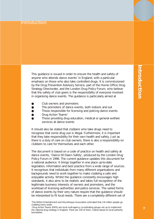### Introduction

This guidance is issued in order to ensure the health and safety of anyone who attends dance events<sup>1</sup> in England, with a particular emphasis on those who also take controlled drugs. It is commissioned by the Drug Prevention Advisory Service, part of the Home Office Drug Strategy Directorate, and the London Drug Policy Forum, who believe that the safety of club goers is the responsibility of everyone involved in organising dance events. The guidance is particularly aimed at

- Club owners and promoters
- The promoters of dance events, both indoors and out
- Those responsible for licensing and policing dance events
- Drug Action Teams<sup>2</sup>
- Those providing drug education, medical or general welfare services at dance events

It should also be stated that clubbers who take drugs need to recognise that some drug use is illegal. Furthermore, it is important that they take responsibility for their own health and safety. Just as there is a duty of care on club owners, there is also a responsibility on clubbers to care for themselves and each other.

The document is based on a code of practice on health and safety at dance events, 'Dance till Dawn Safely', produced by the London Drug Policy Forum in 1996. The current guidance updates this document for a national audience. It brings together in one place up-to-date legislation, information and best practice from a wide range of sources. It recognises that individuals from many different organisations and backgrounds need to work together to make clubbing a safe and enjoyable activity. Whilst the guidance constantly encourages high standards, it also aims to be realistic and takes full recognition of the legitimate business interests of owners and promoters, and the workload of licensing authorities and police services. The varied forms of dance events by their very nature require that the guidance should be interpreted to fit local needs. There are a completely different set of

<sup>1</sup> The British Entertainment and Discotheque Association estimated that 3.8 million people go clubbing every week.

<sup>2</sup> Drug Action Teams (DATs) are local multi-agency co-ordinating groups set up to implement the national drug strategy in England. There are 150 of them, mainly based on local authority boundaries.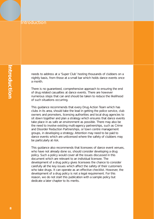### Introduction

needs to address at a 'Super Club' hosting thousands of clubbers on a nightly basis, from those at a small bar which holds dance events once a month.

There is no guaranteed, comprehensive approach to ensuring the end of drug related casualties at dance events. There are however numerous steps that can and should be taken to reduce the likelihood of such situations occurring.

This guidance recommends that every Drug Action Team which has clubs in its area, should take the lead in getting the police service, club owners and promoters, licensing authorities and local drug agencies to sit down together and plan a strategy which ensures that dance events take place in as safe an environment as possible. There may also be the need to involve existing multi-agency partnerships, such as Crime and Disorder Reduction Partnerships, or town centre management groups, in developing a strategy. Attention may need to be paid to dance events which are unlicensed where the safety of clubbers may be particularly at risk.

This guidance also recommends that licensees of dance event venues, who have not already done so, should consider developing a drug policy. Such a policy would cover all the issues discussed in this document which are relevant to an individual licensee. The development of a drug policy gives licensees the chance to consider carefully all the key issues which affect the safety of their customers who take drugs. It can operate as an effective checklist. However, the development of a drug policy is not a legal requirement. For this reason, we do not start this publication with a sample policy but dedicate a later chapter to its merits.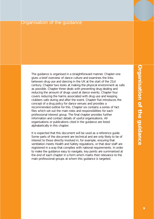### Organisation of the guidance

The guidance is organised in a straightforward manner. Chapter one gives a brief overview of dance culture and examines the links between drug use and dancing in the UK at the start of the 21st century. Chapter two looks at making the physical environment as safe as possible. Chapter three deals with preventing drug dealing and reducing the amount of drugs used at dance events. Chapter four covers reducing the harms associated with drug use and keeping clubbers safe during and after the event. Chapter five introduces the concept of a drug policy for dance venues and provides a recommended outline for this. Chapter six contains a series of fact files which set out the main roles and responsibilities for each professional interest group. The final chapter provides further information and contact details of useful organisations. All organisations or publications cited in the guidance are listed alphabetically in this chapter.

It is expected that this document will be used as a reference guide. Some parts of the document are technical and are only likely to be of interest to those directly involved in, for example, ensuring that ventilation meets Health and Safety regulations, or that door staff are registered in a way that complies with national requirements. In order to make the guidance easy to navigate, key points are summarised at the end of each chapter in a form which marks their relevance to the main professional groups at whom this guidance is targeted.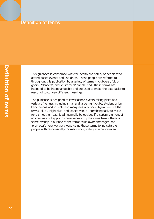### Definition of terms

This guidance is concerned with the health and safety of people who attend dance events and use drugs. These people are referred to throughout this publication by a variety of terms – 'clubbers', 'clubgoers', 'dancers', and 'customers' are all used. These terms are intended to be interchangeable and are used to make the text easier to read, not to convey different meanings.

The guidance is designed to cover dance events taking place at a variety of venues including small and large night clubs, student union bars, arenas and in tents and marquees outdoors. Again, we use the terms 'club', 'night club' and 'dance venue' interchangeably to make for a smoother read. It will normally be obvious if a certain element of advice does not apply to some venues. By the same token, there is some overlap in our use of the terms 'club owner/manager' and 'promoter', here we are always using these terms to indicate the people with responsibility for maintaining safety at a dance event.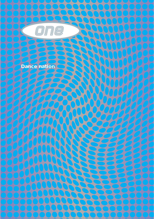

**Dance nation**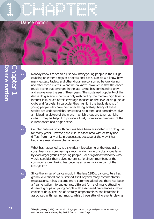## 1 CHAPTER 1998



**1.1** Nobody knows for certain just how many young people in the UK go clubbing on either a regular or occasional basis. Nor do we know how many ecstasy tablets and other drugs are consumed before, during and after these events. What we do know, however, is that the dance music scene that emerged in the late 1980s has continued to grow and evolve over the past fifteen years. The sustained popularity of this dance drug scene is perhaps only matched by the media's high level of interest in it. Much of this coverage focuses on the level of drug use at clubs and festivals. In particular they highlight the tragic deaths of young people who have died after taking ecstasy. Many of these stories are understandably sensationalist in tone, and sometimes give a misleading picture of the ways in which drugs are taken at night clubs. It may be helpful to provide a brief, more sober overview of the current dance and drugs scene.

**1.2** Counter cultures or youth cultures have been associated with drug use for many years. However, the culture associated with ecstasy use differs from many of its predecessors because of the way it has become a mainstream phenomenon.

*What has happened ... is a significant broadening of the drug-using constituency encompassing a much wider range of substances taken by ever-larger groups of young people. For a significant minority who would consider themselves otherwise 'ordinary' members of the community, drug taking has become an unremarkable part of the lifestyle kit.3*

**1.3** Since the arrival of dance music in the late 1980s, dance culture has grown, diversified and sustained itself beyond many commentators' expectations. It has become more commercialised and there has been a fragmentation into sub-genres, different forms of music attracting different groups of young people with associated preferences in their choice of drug. The use of ecstasy, amphetamines and ketamine is associated with 'techno' music, whilst those attending events playing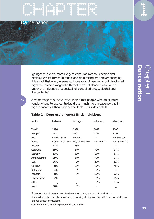

Dance nation



'garage' music are more likely to consume alcohol, cocaine and ecstasy. Whilst trends in music and drug taking are forever changing, it is a fact that every weekend, thousands of people go out dancing all night to a diverse range of different forms of dance music, often under the influence of a cocktail of controlled drugs, alcohol and 'herbal highs'.

**1.4** A wide range of surveys have shown that people who go clubbing regularly tend to use controlled drugs much more frequently and in higher quantities than their peers. Table 1 provides details.

| Author         | Release           | O'Hagan          | <b>Winstock</b> | Measham       |
|----------------|-------------------|------------------|-----------------|---------------|
|                |                   |                  |                 |               |
| Year $#$       | 1996              | 1998             | 1999            | 2000          |
| Sample         | 520               | 200              | 1151            | 2057          |
| Area           | London & SE       | London           | <b>UK</b>       | North-West    |
| Period         | Day of interview* | Day of interview | Past month      | Past 3 months |
| Alcohol        | 63%               | 73%              | -               |               |
| Cannabis       | 59%               | 64%              | 73%             | 87%           |
| Ecstasy        | 53%               | 53%              | 86%             | 67%           |
| Amphetamine    | 39%               | 24%              | 40%             | 77%           |
| <b>LSD</b>     | 16%               | 9%               | 10%             | 52%           |
| Cocaine        | 8%                | 16%              | 46%             | 45%           |
| Ketamine       | 4%                | 6%               | 4%              |               |
| Poppers        | 8%                | 3%               | 22%             | 72%           |
| Tranquillisers | 2%                |                  | 8%              | 15%           |
| <b>GHB</b>     |                   |                  | 3%              | 11%           |
| None           | 10%               | 3%               | -               |               |

#### **Table 1 – Drug use amongst British clubbers**

 $#$  Year indicated is year when interviews took place, not year of publication.

It should be noted that the surveys were looking at drug use over different timescales and are not directly comparable.

\* Includes those intending to take a specific drug.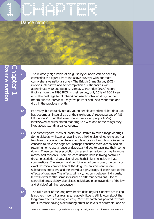1 CHAPTER 1998

Dance nation



The relatively high levels of drug use by clubbers can be seen by comparing the figures from the above surveys with our most comprehensive national survey. The British Crime Survey (BCS) involves interviews and self-completion questionnaires with approximately 10,000 people. Ramsay & Partridge (1999) report findings from the 1998 BCS. In their survey, only 16% of 16-29 year olds (the peak age for clubbers) had used controlled drugs in the month prior to interview. Only five percent had used more than one drug in the previous month.

**1.6** For many, but certainly not all, young people attending clubs, drug use has become an integral part of their night out. A recent survey of 486 UK clubbers<sup>4</sup> found that over one in five young people (22%) interviewed at clubs stated that drug use was one of the things they liked about attending dance events.

Over recent years, many clubbers have started to take a range of drugs. Some clubbers will start an evening by drinking alcohol, go on to snort a few lines of cocaine, then take a couple of pills in the club, smoke some cannabis to 'take the edge off', perhaps consume more alcohol and on returning home use a range of depressant drugs to ease into their 'come down'. These can be prescription drugs such as valium, or may be more alcohol and cannabis. There are considerable risks in taking controlled drugs, prescription drugs, alcohol and herbal highs in indiscriminate combinations. The amount and combination of drugs used, the purity or exact chemical composition of the drug, the environment where substances are taken, and the individual's physiology all contribute to the effects of drug use. The effects will vary, not only between individuals, but will differ for the same individual on different occasions. Use of controlled drugs plainly also places individuals in contravention of the law and at risk of criminal prosecution.

**1.8** The full extent of the long term health risks regular clubbers are taking is not yet known. For example, relatively little is still known about the long-term effects of using ecstasy. Most research has pointed towards the substance having a debilitating effect on levels of serotonin, one of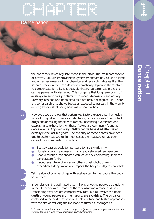## CHAPTER 1999





the chemicals which regulate mood in the brain. The main component of ecstasy, MDMA (methylenedioxymethamphetamine), causes a large and unnatural release of this chemical and research indicates that the reserve stocks in the brain do not automatically replenish themselves to compensate for this. It is possible that nerve terminals in the brain can be permanently damaged. This suggests that long term users of ecstasy can anticipate problems with mood, depression and anxiety. Memory loss has also been cited as a net result of regular use. There is also research that shows foetuses exposed to ecstasy in the womb are at greater risk of being born with abnormalities.<sup>5</sup>

**1.9** However, we do know that certain key factors exacerbate the health risks of drug taking. These include: taking combinations of controlled drugs and/or mixing these with alcohol, becoming overheated and exercising to exhaustion. All these factors are commonly found at dance events. Approximately 80-100 people have died after taking ecstasy in the last ten years. The majority of these deaths have been due to acute heat stroke. In most cases the heat stroke has been caused by a combination of factors:

- Ecstasy causes body temperature to rise significantly
- Non-stop dancing increases this already elevated temperature
- Poor ventilation, over-heated venues and over-crowding, increase temperature further
- Inadequate intake of water (or other non-alcoholic drinks) exacerbates dehydration and impairs the body's ability to cool itself

Taking alcohol or other drugs with ecstasy can further cause the body to overheat.

In conclusion, it is estimated that millions of young people go clubbing in the UK every week, many of them consuming a range of drugs. Dance drug fatalities are comparatively rare, but all involve the tragic death of young people and the majority are avoidable. The guidance contained in the next three chapters sets out tried and tested approaches with the aim of reducing the likelihood of further such tragedies.

<sup>5</sup> Information taken from Internet sites of Drugscope (www.drugscope.org.uk) and the National **15** Institute for Drug Abuse (www.drugabuse.gov/nidahome.html).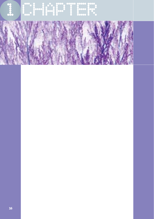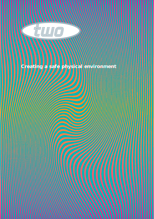

### **Creating a safe physical**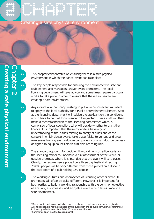

**2.1** This chapter concentrates on ensuring there is a safe physical environment in which the dance event can take place.

**2.2** The key people responsible for ensuring the environment is safe are club owners and managers, and/or event promoters. The local licensing department will give advice and sometimes require particular works to take place in order to ensure that these key people are creating a safe environment.

**2.3** Any individual or company wishing to put on a dance event will need to apply to the local authority for a Public Entertainment Licence<sup>6</sup>. Staff at the licensing department will advise the applicant on the conditions which have to be met for a licence to be granted. These staff will then make a recommendation to the licensing committee<sup>7</sup> which is comprised of local councillors who will decide whether to grant the licence. It is important that these councillors have a good understanding of the issues relating to safety at clubs and of the context in which dance events take place. Visits to venues and drug awareness training are invaluable components of any induction process designed to equip councillors to fulfil this licensing role.

**2.4** The standard approach for deciding the conditions on a licence is for the licensing officer to undertake a risk assessment of the venue or outside premises where it is intended that the event will take place. Clearly, the requirements placed on a three day festival attracting 20,000 people will be very different from those placed on a disco in the back room of a pub holding 150 people.

**2.5** The working cultures and approaches of licensing officers and club promoters will often be quite different. However, it is important for both parties to build a working relationship with the common objective of ensuring a successful and enjoyable event which takes place in a safe environment.

<sup>6</sup> Venues which sell alcohol will also have to apply for an on-licence from local magistrates. Alcohol licensing is not the business of this publication and to avoid confusion, all references to licensing refer to need for a Public Entertainment Licence. 7 Sometimes known as the licensing panel.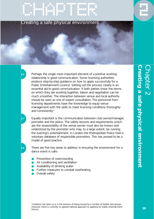

Creating a safe physical environmen

Perhaps the single most important element of a positive working relationship is good communication. Some licensing authorities produce step-by-step guidance on how to apply successfully for a Public Entertainment Licence. Setting out the process clearly is an essential aid to good communication. If both parties know the terms on which they are working together, liaison and negotiation can be much smoother. The interaction between venue and local authority should be seen as one of expert consultation. The personnel from licensing departments have the knowledge to equip venue management with the skills to meet licensing conditions thoroughly and consistently.<sup>8</sup>

**2.7** Equally important is the communication between club owner/manager, promoter and the police. The safety lessons and requirements which are the responsibility of the venue owner must also be known and understood by the promoter who may, to a large extent, be running the evening's entertainment. In London the Metropolitan Police hold a voluntary database of responsible promoters. This has proved to be a model of good practice.

**2.8** There are five key areas to address in ensuring the environment for a dance event is safe:

- Prevention of overcrowding
- Air conditioning and ventilation
- Availability of drinking water
- Further measures to combat overheating
- Overall safety

<sup>8</sup> Guidance has been or is in the process of being issued by a number of bodies and groups. However, there is currently no agreed national approach to applying for public entertainment licence.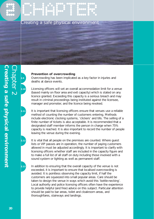

# **Creating a safe physical environment** Creating a safe physical environment lapter 2

### **Prevention of overcrowding**

**2.9** Overcrowding has been implicated as a key factor in injuries and deaths at dance events.

**2.10** Licensing officers will set an overall accommodation limit for a venue (based mainly on floor area and exit capacity) which is stated on any licence granted. Exceeding this capacity is a serious breach and may result in criminal proceedings being instituted against the licensee, manager and promoter, and the licence being revoked.

**2.11** It is important that licensing officers ensure that venues use a reliable method of counting the number of customers entering. Methods include electronic clocking systems, 'clickers' and tills. The selling of a finite number of tickets is also acceptable. It is recommended that a designated staff member informs the person in charge when 75% capacity is reached. It is also important to record the number of people leaving the venue during the evening.

**2.12** It is vital that all people on the premises are counted. Where guest lists or VIP passes are in operation, the number of paying customers allowed in must be adjusted accordingly. It is important to clarify with licensing officers whether staff are included in the capacity figure and to make a full list of all staff on duty including those involved with a sound system or lighting as well as permanent staff.

**2.13** In addition to ensuring that the overall capacity of the venue is not exceeded, it is important to ensure that localised overcrowding is avoided. It is pointless observing the capacity limit, if half the customers are squeezed into small popular areas. Care should be taken to design the venue in ways which avoid this 'bottle-necking'. Local authority and police licensing officers often have the experience to provide helpful (and free) advice on this subject. Particular attention should be paid to bar areas, toilet and cloakroom areas, and thoroughfares, stairways and landings.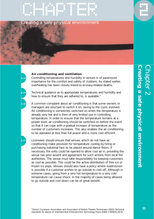

### Creating a safe physical environment

### **Air conditioning and ventilation**

**2.14** Controlling temperatures and humidity in venues is of paramount importance for the comfort and safety of clubbers. As stated earlier, overheating has been closely linked to ecstasy-related deaths.

**2.15** Technical guidance as to appropriate temperatures and humidity and how to ensure that they are adhered to, is available.<sup>9</sup>

**2.16** A common complaint about air conditioning is that some owners or managers are reluctant to switch it on, owing to the costs involved. Air conditioning is sometimes switched on when the temperature is already very hot and is then of very limited use in controlling temperature. In order to ensure that the temperature remains at a proper level, air conditioning should be switched on before the event so that it can cope with a gradual increase of temperature as the number of customers increases. This also enables the air conditioning to be operated at less than full power and is more cost efficient.

**2.17** Licensees should ensure that venues which do not have air conditioning make provision for temperature cooling by hiring or purchasing industrial fans to be placed around dance floors. If necessary, fire exits could be opened to allow cool air in, providing the venue has prior assent and agreement for such actions from local fire authorities. The venue must take responsibility for keeping customers as cool as possible. This could be the active distribution of free ice or frozen ice pops. Venues should also have a policy where readmission is possible if a customer wishes to go outside to cool off. Although in extreme cases, going from a very hot temperature to a very cold temperature can cause shock. In the majority of cases being allowed to go outside and cool down can be of great benefit.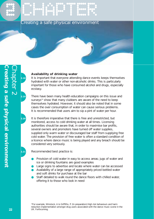## 2 CHAPTER Creating a safe physical environment

### **Availability of drinking water**

**2.18** It is important that everyone attending dance events keeps themselves hydrated with water or other non-alcoholic drinks. This is particularly important for those who have consumed alcohol and drugs, especially ecstasy.

**2.19** There have been many health education campaigns on this issue and surveys<sup>10</sup> show that many clubbers are aware of the need to keep themselves hydrated. However, it should also be noted that in some cases the over consumption of water can cause serious problems. It is recommended that users aim to sip a pint of water per hour.

**2.20** It is therefore imperative that there is free and unrestricted, but monitored, access to cold drinking water at all times. Licensing authorities should be aware that, in order to maximise bar profits, several owners and promoters have turned off water supplies, supplied only warm water or discouraged bar staff from supplying free cold water. The provision of free water is often a standard condition of a licence where dance music is being played and any breach should be considered very seriously.

**2.21** Recommended best practice is:

- Provision of cold water in easy to access areas; jugs of water and ice or drinking fountains are good examples
- Large signs to advertise and locate where water can be accessed
- Availability of a large range of appropriately priced bottled water and soft drinks for purchase at the bar
- Staff detailed to walk round the dance floors with chilled water, offering it to those who look in need

10For example, Winstock, A & Griffiths, P. (In preparation) High risk behaviours and harm reduction implementation amongst drug users associated with the dance music scene in the UK. Forthcoming.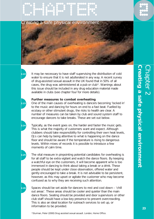

ng a safe physical environmen



**2.22** It may be necessary to have staff supervising the distribution of cold water to ensure that it is not adulterated in any way. A recent survey of drug-assisted sexual assault in the UK found that in 50% of all cases, the drug was administered at a pub or club<sup>11</sup>. Warnings about this issue should be included in any drug education material made available in clubs (see chapter four for more details).

### **Further measures to combat overheating**

**2.23** One of the main causes of overheating is dancers becoming 'locked in' to the music and dancing for hours on end to a fast beat. Fuelled by ecstasy or other stimulant drugs, the risks to health are clear. A number of measures can be taken by club and sound system staff to encourage dancers to take breaks. These are set out below.

**2.24** Typically, as the event goes on, the harder and faster the music gets. This is what the majority of customers want and expect. Although clubbers should take responsibility for controlling their own heat levels, DJs can help by being attentive to what is happening on the dance floor and should be aware if the temperature is rising to dangerous levels. Within mixes of records it is possible to introduce a few moments of calm time.

**2.25** The vital measure in pinpointing potential candidates for overheating is for all staff to be extra vigilant and watch the dance floors. By keeping a watchful eye on the customers, it will become apparent who is too immersed in dancing to think about taking a break or a drink. These people should be kept under close observation, offered water and gently encouraged to take a break. It is not advisable to be persistent, however, as this may upset or agitate the customer who may become confused as to why they are receiving such attention.

**2.26** Spaces should be set aside for dancers to rest and cool down – 'chill out areas'. These areas should be cooler and quieter than the main dance floors. Seating should be provided and door supervisors or other club staff should have a low-key presence to prevent overcrowding. This is also an ideal location for outreach services to set up, or information to be provided.

11Sturman, Peter (2000) Drug assisted sexual assault. London, Home Office.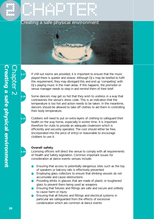## 2 CHAPTER Creating a safe physical environ



**2.27** If chill out rooms are provided, it is important to ensure that the music played there is quieter and slower. Although DJs may be briefed to fulfil this requirement, they may disregard this and end up 'competing' with DJs playing music in the main areas. If this happens, the promoter or venue manager needs to step in and remind them of their brief.

**2.28** Some dancers may get so hot that they wish to undress in a way that contravenes the venue's dress code. This is an indication that the temperature is too hot and action needs to be taken. In the meantime, dancers should be allowed to take off clothes to aid them in controlling their body temperature.

**2.29** Clubbers will need to put on extra layers of clothing to safeguard their health on the way home, especially in winter time. It is important therefore for clubs to provide an adequate cloakroom which is efficiently and securely operated. The cost should either be free, (incorporated into the price of entry) or reasonable to encourage clubbers to use it.

### **Overall safety**

**2.30** Licensing officers will direct the venue to comply with all requirements of Health and Safety legislation. Common important issues for consideration at dance events venues include:

- Ensuring that access to potentially dangerous sites such as the top of speakers or balcony rails is effectively prevented
- Employing glass collectors to ensure that drinking vessels do not accumulate and cause obstructions
- Providing drinks in glasses that are made of plastic or toughened glass to prevent them being used as weapons
- Ensuring that fixtures and fittings are safe and secure and unlikely to cause harm or injury
- Ensuring that all fixtures and fittings and electrical systems in particular are safeguarded from the effects of excessive condensation which are common at dance events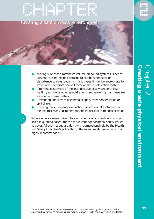## CHAPTER 2

Creating a safe physical environm

- Making sure that a maximum volume on sound systems is set to prevent causing hearing damage to clubbers and staff or disturbance to neighbours. In many cases it may be appropriate to install a tamper-proof sound limiter on the amplification system
- Informing customers of the intended use of any strobe or laser lighting, smoke or other special effects and ensuring that these are installed and used safely
- Preventing floors from becoming slippery from condensation or spilt drinks
- Ensuring that emergency evacuation procedures take into account the fact that many customers may be intoxicated from drink or drugs

**2.31** Where a dance event takes place outside, or is of a particularly large scale (e.g. arena-based) there are a number of additional safety issues to cover. All such issues are dealt with comprehensively by the Health and Safety Executive's publication, 'The event safety guide', which is highly recommended.<sup>12</sup>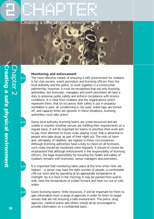## 2 Pay 2 Pay 2 Pay 2 Pay 2 Pay 2 Pay 2 Pay 2 Pay 2 Pay 2 Pay 2 Pay 2 Pay 2 Pay 2 Pay 2 Pay 2 Pay 2 Pay 2 Pay 2 P<br>2 Pay 2 Pay 2 Pay 2 Pay 2 Pay 2 Pay 2 Pay 2 Pay 2 Pay 2 Pay 2 Pay 2 Pay 2 Pay 2 Pay 2 Pay 2 Pay 2 Pay 2 Pay 2

Creating a safe physica



### **Monitoring and enforcement**

**2.32** The most effective means of ensuring a safe environment for clubbers is for club owners, event promoters and licensing officers from the local authority and the police, to work together in a constructive partnership. However, it must be recognised that not only licensing authorities, but licencees, managers and event promoters all have a duty to preserve public safety and enforce compliance with licence conditions. It is clear from clubbers and the organisations which represent them, that on occasions their safety is put in jeopardy: ventilation is poor, air conditioning is not used, water taps are turned off, and capacity limits are ignored. In these situations, licensing authorities must take action.

**2.33** Some local authority licensing teams are under-resourced and are unable to monitor whether venues are fulfilling their requirements on a regular basis. It will be important for teams to prioritise their work and to pay most attention to those clubs playing music that is attractive to people who take drugs as part of their night out. The risks of harm and, ultimately, of fatalities, are highest in these circumstances. Although licensing authorities have a duty to check on all licensees, such clubs should be monitored more regularly. It should of course be emphasised that although enforcement is the responsibility of licensing officers, the legal responsibility for ensuring the health and safety of clubbers remains with licencees, venue managers and promoters.

**2.34** It is important that monitoring takes place at the time when risks are highest – a venue may have the right number of people, a comfortable chill out room and be operating at an appropriate temperature at midnight. By 4 o'clock in the morning, it may be packed from wall to wall, have the temperature of a blast furnace and have run out of cold water.

**2.35** Given licensing teams' finite resources, it will be important for them to gain information from a range of agencies in order for them to target venues that are not ensuring a safe environment. The police, drug agencies, medical teams and others should all be encouraged to provide information on a confidential basis.

**Creating a safe physical environment** Creating a safe physical environment Chapter 2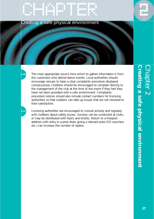

### Creating a safe physical environment

**2.36** The most appropriate source from which to gather information is from the customers who attend dance events. Local authorities should encourage venues to have a clear complaints procedure displayed conspicuously. Clubbers should be encouraged to complain directly to the management of the club at the time of the event if they feel they have not been provided with a safe environment. Complaints procedure notices should also include contact numbers for licensing authorities so that clubbers can take up issues that are not resolved to their satisfaction.

**2.37** Licensing authorities are encouraged to consult actively and regularly with clubbers about safety issues. Surveys can be conducted at clubs, or may be distributed with flyers and tickets. Return to a freepost address with entry in a prize draw giving a relevant prize (CD vouchers etc.) can increase the number of replies.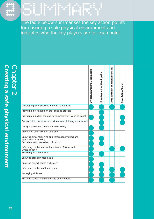## 2002<br>2003<br>2000

The table below summarises the key action points for ensuring a safe physical environment and indicates who the key players are for each point.

 $\frac{1}{2}$  ,  $\frac{1}{2}$  ,  $\frac{1}{2}$  ,  $\frac{1}{2}$  ,  $\frac{1}{2}$  ,  $\frac{1}{2}$  ,  $\frac{1}{2}$  ,  $\frac{1}{2}$  ,  $\frac{1}{2}$ 

|                                                                                | promoters<br>ન્ઝ<br>managers<br>Owners, | police<br>Licensing authorities & | Drug outreach or medical services | Drug Action Teams |
|--------------------------------------------------------------------------------|-----------------------------------------|-----------------------------------|-----------------------------------|-------------------|
| Developing a constructive working relationship                                 |                                         |                                   |                                   |                   |
| Providing information on the licensing process                                 |                                         |                                   |                                   |                   |
| Providing induction training to councillors on licensing panel                 |                                         |                                   |                                   |                   |
| Support club operators to provide a safe clubbing environment                  |                                         |                                   |                                   |                   |
| Designing venue to prevent overcrowding                                        |                                         |                                   |                                   |                   |
| Preventing overcrowding at events                                              |                                         |                                   |                                   |                   |
| Ensuring air conditioning and ventilation systems are<br>appropriate & working |                                         |                                   |                                   |                   |
| Providing free, accessible, cold water                                         |                                         |                                   |                                   |                   |
| Informing clubbers about importance of water and<br>where to get it            |                                         |                                   |                                   |                   |
| Providing a chill out room                                                     |                                         |                                   |                                   |                   |
| Ensuring breaks in fast music                                                  |                                         |                                   |                                   |                   |
| Ensuring overall health and safety                                             |                                         |                                   |                                   |                   |
| Informing clubbers of their rights                                             |                                         |                                   |                                   |                   |
| Surveying clubbers                                                             |                                         |                                   |                                   |                   |
| Ensuring regular monitoring and enforcement                                    |                                         |                                   |                                   |                   |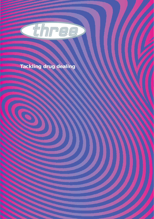

### **Tackling drug dealing**

D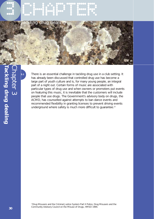

**3.1** There is an essential challenge in tackling drug use in a club setting. It has already been discussed that controlled drug use has become a large part of youth culture and is, for many young people, an integral part of a night out. Certain forms of music are associated with particular types of drug use and when owners or promoters put events on featuring this music, it is inevitable that the customers will include people that use drugs. The Government's advisory body on drugs, the ACMD, has counselled against attempts to ban dance events and recommended flexibility in granting licenses to prevent driving events underground where safety is much more difficult to guarantee.<sup>13</sup>

<sup>13</sup>Drug Misusers and the Criminal Justice System Part II Police, Drug Misusers and the Community Advisory Council on the Misuse of Drugs, HMSO 1994.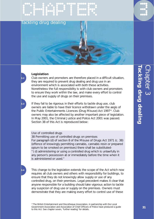### Tackling drug dealing

EMPLE DE L'ARTISTE

### **Legislation**

**3.2** Club owners and promoters are therefore placed in a difficult situation, they are required to prevent drug dealing and drug use in an environment which is associated with both these activities. Nonetheless the full responsibility is with club owners and promoters to ensure they work within the law, and make every effort to control the use and supply of drugs on their premises.

**3.3** If they fail to be rigorous in their efforts to tackle drug use, club owners are liable to have their licence withdrawn under the aegis of the Public Entertainments Licences (Drug Misuse) Act 199714. Club owners may also be affected by another important piece of legislation. In May 2001, the Criminal Justice and Police Act 2001 was passed. Section 38 of this Act is reproduced below:

### Use of controlled drugs

38 Permitting use of controlled drugs on premises For paragraph (d) of section 8 of the Misuse of Drugs Act 1971 (c. 38) (offence of knowingly permitting cannabis, cannabis resin or prepared opium to be smoked on premises) there shall be substituted- "( d) administering or using a controlled drug which is unlawfully in any person's possession at or immediately before the time when it is administered or used."

**3.4** This change to the legislation extends the scope of the Act which now requires all club owners and others with responsibility for buildings, to ensure that they do not knowingly allow supply or use of any controlled drug, on their premises. Legal precedent makes it clear that anyone responsible for a building should take vigorous action to tackle any suspicion of drug use or supply on the premises. Owners must demonstrate that they are making every effort to control use of these

<sup>14</sup> The British Entertainment and Discotheque Association, in partnership with the Local Government Association and Association of Chief Officers of Police have produced a guide to this Act. See chapter seven, 'further reading' for details.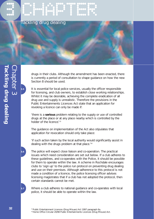### CHAPTER CHAPTER Tackling drug dealing



drugs in their clubs. Although the amendment has been enacted, there is currently a period of consultation to shape guidance on how the new Section 8 should be used.

**3.5** It is essential for local police services, usually the officer responsible for licensing, and club owners, to establish close working relationships. Whilst it may be desirable, achieving the complete eradication of all drug use and supply is unrealistic. Therefore the provisions in the Public Entertainments Licences Act state that an application for revoking a licence can only be made if:

*'there is a serious problem relating to the supply or use of controlled drugs at the place or at any place nearby which is controlled by the holder of the licence.'* <sup>15</sup>

The guidance on implementation of the Act also stipulates that application for revocation should only take place:

*'if such action taken by the local authority would significantly assist in dealing with the drugs problem at that place.*' 16

**3.6** The police will expect close liaison and co-operation. The practical issues which need consideration are set out below. If a club adheres to these guidelines, and co-operates with the Police, it should be possible for them to operate within the law. A scheme in Rochdale encourages clubs to 'sign up' to the police run protocol on preventing drug dealing and use on their premises. Although adherence to this protocol is not made a condition of a licence, the police licensing officer advises licensing magistrates that if a club has not adopted the protocol, then certain standards cannot be met.

**3.7** Where a club adheres to national guidance and co-operates with local police, it should be able to operate within the law.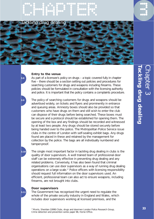





### **Entry to the venue**

**3.8** As part of a licensee's policy on drugs – a topic covered fully in chapter five – there should be a section setting out policies and procedures for searching customers for drugs and weapons including firearms. These policies should be formulated in consultation with the licensing authority and police. It is important that the policy contains a complaints procedure.

The policy of searching customers for drugs and weapons should be advertised widely, on tickets and flyers and prominently in entrance and queuing areas. Amnesty boxes should also be provided so that customers who have drugs on them and still wish to enter the club can dispose of their drugs before being searched. These boxes must be secure and a protocol should be established for opening them. The opening of the box and any findings should be recorded and witnessed by at least two people. Any drugs should be stored securely before being handed over to the police. The Metropolitan Police Service issue clubs in the centre of London with self-sealing exhibit bags. Any drugs found are placed in these and retained by the management for collection by the police. The bags are all individually numbered and tamper-proof.

**3.10** The single most important factor in tackling drug dealing in clubs is the quality of door supervisors. A well trained team of professional door staff can be extremely effective in preventing drug dealing and any related problems. Conversely, it has also been found that criminal organisations can use door supervisors as a way of running drug dealing operations on a large scale.17 Police officers with licensing responsibility should request full information on the door supervisors used. An efficient, professional team can also act to ensure weapons, including firearms, are not brought into clubs.

#### **Door supervisors**

**3.11** The Government has recognised the urgent need to regulate the whole of the private security industry in England and Wales, which includes door supervisors working at licensed premises, and the

17 Morris, Sheridan (1998) Clubs, drugs and doormen London Police Research Group, **33** Crime detection and prevention series paper 86, Home Office.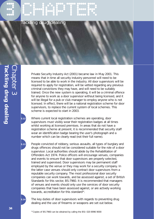### CHAPTER CHAPTER Tackling drug dealing

Private Security Industry Act (2001) became law in May 2001. This means that in time all security industry personnel will need to be licensed to be able to work in the industry. All door supervisors will be required to apply for registration, will be vetted regarding any previous criminal convictions they may have, and will need to be suitably trained. Once the new system is operating, it will be a criminal offence for anyone to work as a door supervisor without being licensed, and it will be illegal for a pub or club manager to employ anyone who is not licensed. In effect, there will be a national registration scheme for door supervisors, to replace the current system of local schemes. This scheme is expected to start in 2003.

**3.12** Where current local registration schemes are operating, door supervisors must visibly wear their registration badges at all times whilst working at licensed premises. In areas that do not have a registration scheme at present, it is recommended that security staff wear an identification badge bearing the user's photograph and a number which can be clearly read (not their full name).

**3.13** People convicted of robbery, serious assaults, all types of burglary and drugs offences should not be considered suitable for the role of a door supervisor. Local authorities should abide by the Rehabilitation of Offenders Act 1974. Police officers will encourage venues, companies and events to ensure that door supervisors are properly selected, trained and supervised. Door supervisors may be permanent staff employed by the venue or they may work for a security company. In the latter case venues should only contract door supervisors from a reputable security company. The most professional door security companies can work towards, and be assessed against, a set of British Standards for this sector, BS:7960. It is recommended that managers of venues and events should only use the services of door security companies that have been assessed against, or are actively working towards, accreditation for this standard<sup>18</sup>.

**3.14** The key duties of door supervisors with regards to preventing drug dealing and the use of firearms or weapons are set out below.

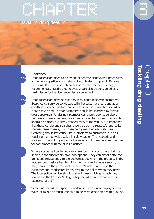### Tackling drug dealing

EMPLE DE CHAPTER POR CHAPTER DE CHAPTER DE CHAPTER DE CHAPTER DE CHAPTER DE CHAPTER DE CHAPTER DE CHAPTER DE C<br>CHAPTER DE CHAPTER DE CHAPTER DE CHAPTER DE CHAPTER DE CHAPTER DE CHAPTER DE CHAPTER DE CHAPTER DE CHAPTER DE<br>C

#### **Searches**

**3.15** Door supervisors need to be aware of search/seizure/arrest procedures at the venue, particularly in relation to controlled drugs and offensive weapons. The use of search arches or metal detectors is strongly recommended. Needle-proof gloves should also be considered as a health issue for the door supervisors concerned.

**3.16** Door supervisors have no statutory legal rights to search customers. Searches can only be conducted with the customer's consent, as a condition of entry. The fact that searches will be conducted should be clearly advertised. Female customers should be searched by female door supervisors. Under no circumstances should door supervisors perform strip searches. Any customer refusing to consent to a search should be politely but firmly refused entry to the venue. It is important that those conducting searches should do so in a respectful and polite manner, remembering that those being searched are customers. Searching should not cause undue problems to customers, such as requiring them to wait outside in cold weather. The methods and approach to searching influence the mood of clubbers, and set the tone for compliance with the club's practices.

**3.17** Where suspected controlled drugs are found on customers during a search, door supervisors have two options. They can either seize the items and refuse entry to the customer, booking in the property in the incident book before handing it to the manager for safe keeping, or they can seize the items, make a citizen's arrest, and hand the customer and confiscated items over to the police when they arrive. The local police service should make it clear which approach they favour and the licensee's drug policy should make it clear what is expected of staff.

**3.18** Searching should be especially vigilant in those clubs playing certain types of music historically shown to be most associated with gun use.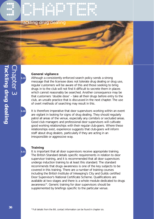### CHAPTER CHAPTER **Tackling**



### **General vigilance**

**3.19** Although a consistently enforced search policy sends a strong message that the licensee does not tolerate drug dealing or drug use, regular customers will be aware of this and those seeking to bring drugs in to the club will not find it difficult to secrete them in places which cannot reasonably be searched. Another consequence may be that customers 'double dose' – take all their drugs before entry to the club, an unsafe practice that is discussed in the next chapter. The use of overt methods of searching may result in this.

**3.20** It is therefore imperative that door supervisors working within an event are vigilant in looking for signs of drug dealing. They should regularly patrol all areas of the venue, especially any corridors or secluded areas. Good club managers and professional door supervisors will cultivate good working relationships with their regular club-goers. Where these relationships exist, experience suggests that club-goers will inform staff about drug dealers, particularly if they are acting in an irresponsible or aggressive way.

#### **Training**

**3.21** It is important that all door supervisors receive appropriate training. The British Standard details specific requirements in relation to door supervisor training, and it is recommended that all door supervisors undergo induction training to at least this standard. The standard recommends that drugs awareness is one of the key subjects to be covered in this training. There are a number of training courses including the British Institute of Inkeeping's City and Guilds certified Door Supervisor's National Certificate Scheme. Qualifications are available at two stages and there is a whole module dedicated to drugs awareness<sup>19</sup>. Generic training for door supervisors should be supplemented by briefings specific to the particular venue.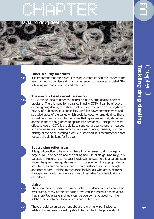

#### **Other security measures**

**3.22** It is important that the police, licensing authorities and the leader of the team of door supervisors discuss other security measures in detail. The following methods have proved effective.

#### **The use of closed circuit television**

**3.23** CCTV can be used to deter and detect drug use, drug dealing or other problems. There is need for a balance in using CCTV. It can be effective in deterring drug dealing, but should not be used to intrude on the legitimate privacy of club goers. It is particularly useful to cover entrance areas and secluded areas of the venue which could be used for drug dealing. There should be a clear policy which ensures that tapes are securely stored and access to them only granted to appropriate personnel. Perhaps the most effective use of CCTV is the ability to send out a clear deterrent message to drug dealers and those carrying weapons including firearms, that the identity of everyone entering a venue is recorded. It is recommended that footage should be kept for 31 days.

#### **Supervising toilet areas**

**3.24** It is good practice to have attendants in toilet areas to discourage a large build up of people and the selling and use of drugs. Naturally, it is particularly important to respect individuals' privacy in this area and staff should be given clear guidelines which cover when it is appropriate for staff to try to enter a cubicle and when assistance should be sought, and from whom. Training to recognise individuals who are in distress through drug and/or alcohol use is also invaluable for toilet/cloakroom attendants.

#### **Liaison**

**3.25** The importance of liaison between police and dance venues cannot be over-stated. Many of the difficulties involved in running a dance venue that is profitable, safe and legal can be overcome by good working relationships between local officers and club owners.

**3.26** There should be an agreement about the way in which incidents relating to drug use or dealing should be handled. The police should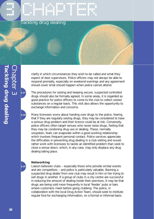### Tackling drug dealing

CHAPTER CHAPTER

clarify in which circumstances they wish to be called and what they expect of door supervisors. Police officers may not always be able to respond promptly, especially on weekend evenings and any agreement should cover what should happen when police cannot attend.

**3.27** The procedures for seizing and keeping secure, suspected controlled drugs should also be formally agreed. In some areas, it is regarded as good practice for police officers to come to the club to collect seized substances on a regular basis. This visit also allows the opportunity to exchange information and concerns.

**3.28** Many licensees worry about handing over drugs to the police, fearing that if they are regularly seizing drugs, they may be considered to have a serious drug problem and their licence could be at risk. Conversely, police officers often target venues who never seize drugs, feeling that they may be condoning drug use or dealing. These, normally unspoken, fears can evaporate within a good working relationship which involves frequent personal contact. Police services appreciate the difficulties in preventing drug dealing in a club setting and would rather work with licensees to tackle an identified problem than seek to close a venue down, which, in any case, may only displace any drug dealing taking place.

#### **Networking**

**3.29** Liaison between clubs – especially those who provide similar events and are competitors – and police is particularly valuable. Banning a suspected drug dealer from one club may result in him or her trying to sell drugs in another. If a group of clubs in a city centre are successful in reducing the amount of dealing inside their premises, it may be that drugs are being sold more frequently in local 'feeder' pubs or bars where customers meet before going clubbing. The police, in collaboration with the local Drug Action Team, should seek to institute regular fora for exchanging information, on a formal or informal basis.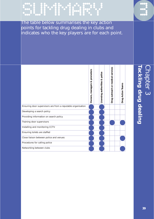The table below summarises the key action points for tackling drug dealing in clubs and indicates who the key players are for each point.

SUMMARY SUMMARY



# **Tackling drug dealing** Chapter 3 **ackling drug dealing**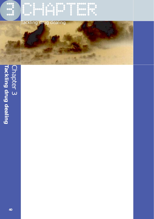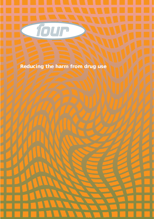

### **Reducing the harm from drug use**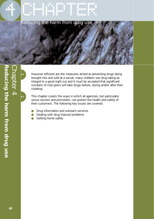

**4.1** However efficient are the measures aimed at preventing drugs being brought into and sold at a venue, many clubbers see drug taking as integral to a good night out and it must be accepted that significant numbers of club goers will take drugs before, during and/or after their clubbing.

**4.2** This chapter covers the ways in which all agencies, but particularly venue owners and promoters, can protect the health and safety of their customers. The following key issues are covered.

- Drug information and outreach services
- Dealing with drug induced problems
- Getting home safely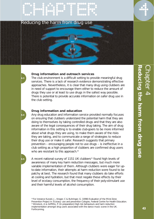

#### **Drug information and outreach services**

**4.3** The club environment is a difficult setting to provide meaningful drug services. There is a lack of research evidence demonstrating effective approaches. Nevertheless, it is clear that many drug using clubbers are in need of support to encourage them either to reduce the amount of drugs they use or at least to use drugs in the safest way possible. There is potential to provide accurate information on safer drug use in the club setting.

#### **Drug information and education**

**4.4** Any drug education and information service provided normally focuses on ensuring that clubbers understand the potential harm that they are doing to themselves by taking controlled drugs and that they are also aware of the legal consequences of their drug taking. The aim of drug information in this setting is to enable club-goers to be more informed about what drugs they are using, to make them aware of the risks they are taking, and to communicate a range of strategies to reduce their drug use or make it safer. Research suggests that primary prevention – encouraging people not to use drugs – is ineffective in a club setting as a high proportion of clubbers are confirmed drug users who are resistant to this approach.<sup>20</sup>

A recent national survey of 1151 UK clubbers<sup>21</sup> found high levels of awareness of many key harm reduction messages, but much more variable implementation of them. Although clubbers were eager for upto-date information, their attempts at harm reduction were found to be patchy at best. The research found that many clubbers do take efforts at cooling and hydration, but that most negate these effects by their level of ecstasy consumption, the frequency of their poly-stimulant use and their harmful levels of alcohol consumption.

20 For instance Kunzel, J., Kroger, C & Buhringer, G. (1998) Evaluation of the Mind Zone Prevention Project in: Ecstasy: use and prevention Cologne, Federal Centre for Health Education. 21 Winstock, A & Griffiths, P. (In preparation) High risk behaviours and harm reduction implementation amongst drug users associated with the dance music scene in the UK. Forthcoming.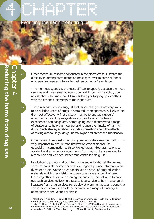

**4.6** Other recent UK research conducted in the North-West illustrates the difficulty in getting harm reduction messages over to some clubbers who see drug use as integral to their enjoyment of a night out:

*'The night out agenda is the most difficult to specify because the most cautious and thus safest advice – don't drink too much alcohol, don't mix alcohol with drugs, don't keep redosing or topping up – conflicts with the essential elements of the night out<sup>22</sup>.'* 

These research studies suggest that, since club goers are very likely to be existing users of drugs, a harm reduction approach is likely to be the most effective. A first strategy may be to engage clubbers' attention by providing suggestions on how to avoid unpleasant experiences and hangovers, before going on to recommend a range of strategies to help them control and reduce their intake of harmful drugs. Such strategies should include information about the effects of mixing alcohol, legal drugs, herbal highs and prescribed medication.

**4.8** Other research suggests that using peer educators may be fruitful. It is very important to ensure that information covers alcohol use, especially in combination with controlled drugs. Most admissions to accident and emergency departments from nightclubs are related to alcohol use and violence, rather than controlled drug use<sup>23</sup>.

**4.9** In addition to providing drug information and education at the venue, some responsible promoters and ticket agents provide information on flyers or tickets. Some ticket agents keep a stock of drug education materials which they distribute to personal callers at point of sale. Licensing officers should encourage venues that do not wish to have outreach services delivering a face to face service to buy in a range of literature from drug services for display at prominent places around the venue. Such literature should be available in a range of languages appropriate to the venues clientele.

<sup>22</sup> Measham, F, Aldridge, J, Parker, H. (2001) Dancing on drugs: risk, health and hedonism in the British club scene London, Free Association Books, page 188. 23 Luke, C., Dewar, C., Bailey, M. McGreevy, D; Morris, H. (1999) A little night club medicine: the healthcare implications of clubbing in Club Health 2000 programme and abstract book Amsterdam, NHS North West, Liverpool John Moore University, Trimbos Instituut.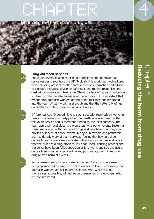

#### **Drug outreach services**

**4.10** There are several examples of drug outreach work undertaken at dance venues throughout the UK. Typically this work has involved drug workers being present to offer harm reduction information and advice to clubbers including advice on safer sex, and to help recognise and deal with drug-related intoxication. There is a lack of research evidence to demonstrate the effectiveness of this approach. It is important that where drug outreach workers attend clubs, that they are integrated into the team of staff working at a club and that they attend briefings on health and safety, evacuation procedures etc.

D<sup>3</sup> (pronounced 'D cubed') is one such specialist team which works in Leeds. The team is actually part of the health education team within the youth service and is therefore funded by the local authority. The team approach local clubs and promoters who put on events featuring music associated with the use of drugs and negotiate how they can provide a service at dance events. Many club owners and promoters are traditionally wary of such services, feeling that having a drug outreach team on site may indicate to licensing authorities and police that the club has a drug problem. In Leeds, local licensing officers and the police have been fully supportive of  $D^3$ 's work, and see the use of outreach services as a responsible and positive approach in reducing drug related harm at events.

Some owners and promoters are concerned that customers resent being approached by drug workers at events and need reassuring that outreach workers are skilled professionals who, while making themselves accessible, will not force themselves on club goers who are not interested.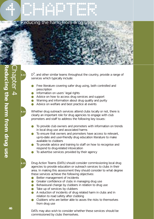

 $\overline{P}$   $D^3$ , and other similar teams throughout the country, provide a range of services which typically include:

- Free literature covering safer drug using, both controlled and prescription
- **•** Information on users' legal rights
- Advice on how to access drug services and support
- Warning and information about drug quality and purity
- Advice on welfare and best practice at events

**4.14** Whether drug outreach services attend clubs locally or not, there is clearly an important role for drug agencies to engage with club promoters and staff to address the following key issues:

- To provide club owners and promoters with information on trends in local drug use and associated harms
- To ensure that owners and promoters have access to relevant, up-to-date and user-friendly drug education literature to make available to clubbers
- To provide advice and training to staff on how to recognise and respond to drug-related intoxication
- To advertise services provided by their agency

**4.15** Drug Action Teams (DATs) should consider commissioning local drug agencies to provide education or outreach services to clubs in their area. In making this assessment they should consider to what degree these services achieve the following objectives:

- Better management of incidents
- Greater confidence of clubs in managing drug use
- Behavioural change by clubbers in relation to drug use
- Take up of services by clubbers
- A reduction of incidents of drug related harm in clubs and in relation to road safety after clubbing
- Clubbers who are better able to asses the risks to themselves from drug use

DATs may also wish to consider whether these services should be commissioned by clubs themselves.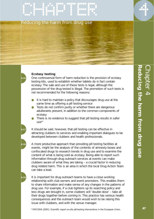## CHAPTER CHAPTER Reducing the harm from drug use

#### **Ecstasy testing**

**4.16** One controversial form of harm reduction is the provision of ecstasy testing kits, used to establish whether tablets do in fact contain ecstasy. The sale and use of these tests is legal, although the possession of the drug tested is illegal. The promotion of such tests is not recommended for the following reasons:

- It is hard to maintain a policy that discourages drug use at the same time as offering a pill testing service
- Tests do not confirm purity or whether there are dangerous adulterants present, in addition to the common components of ecstasy
	- There is no evidence to suggest that pill testing results in safer  $US<sup>24</sup>$

It should be said, however, that pill testing can be effective in attracting clubbers to services and enabling important dialogues to be developed between clubbers and health professionals.

**4.18** A more productive approach than providing pill testing facilities at events, might be the analysis of the contents of amnesty boxes and confiscated drugs to research trends in drug use and to examine the content of what is being sold as ecstasy. Being able to report such information through drug outreach services at events can make clubbers aware of what they are taking – a crucial factor in reducing drug related harm. This is an area in which the local Drug Action Team can take a lead.

It is important for drug outreach teams to have a close working relationship with club owners and event promoters. This enables them to share information and make sense of any changes in the patterns of drug use. For example, if a club tightens up its searching policy and less drugs are brought in, some clubbers will 'double dose' – take all their drugs together before coming in. This practice has serious health consequences and the outreach team would wish to be raising this issue with clubbers, and with the venue manager.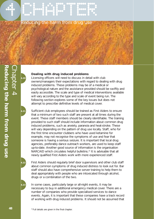

#### **Dealing with drug induced problems**

**4.20** Licensing officers will need to discuss in detail with club owners/managers their expectations with regard to dealing with drug induced problems. These problems may be of a medical or psychological nature and the assistance provided should be swiftly and easily accessible. The scale and type of medical interventions available will vary according to the type and scale of event being run. The following section explores some of the key issues but does not attempt to prescribe definitive levels of medical cover.

**4.21** Sufficient club employees should be trained as First Aiders to ensure that a minimum of two such staff are present at all times during the event. These staff members should be clearly identifiable. The training provided to such staff should include information about common drug induced problems, such as anxiety, paranoia and heat-stroke. These will vary depending on the pattern of drug use locally. Staff, who for the first time encounter clubbers who have used ketamine for example, may not recognise the symptoms of use and fear that someone is having a serious seizure. It is important that local drug agencies, preferably dance outreach workers, are used to keep staff up-to-date. Another good source of information is the organisation NARCAID which circulates helpful bulletins.25 It is advisable that all newly qualified First Aiders work with more experienced staff.

**4.22** First Aiders should regularly brief door supervisors and other club staff about common symptoms of drug induced distress to look out for. Bar staff should also have comprehensive server training to help them to deal appropriately with people who are intoxicated through alcohol, drugs or a combination of the two.

**4.23** In some cases, particularly large or all-night events, it may be necessary to buy in additional emergency medical cover. There are a number of companies who provide specialised services to dance events. Again, it is important that these companies have a track record of working with drug induced problems. It should not be assumed that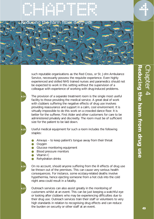

such reputable organisations as the Red Cross, or St. John Ambulance Service, necessarily possess the requisite experience. Even highly experienced and skilled NHS trained nurses and paramedics should not be expected to work in this setting without the supervision of a colleague with experience of working with drug-induced problems.

**4.24** The provision of a separate treatment room is the single most useful facility to those providing the medical service. A great deal of work with clubbers suffering the negative effects of drug use involves providing reassurance and support in a calm, cool environment. It is virtually impossible to do this work on a crowded dance floor. It is better for the sufferer, First Aider and other customers for care to be administered privately and discreetly. The room must be of sufficient size for the patient to be laid down.

**4.25** Useful medical equipment for such a room includes the following staples:

- Airways to keep patient's tongue away from their throat
- Oxygen
- Glucose monitoring equipment
- Blood pressure monitors
	- Vitamin C
	- **Rehydration drinks**

**4.26** On no account, should anyone suffering from the ill effects of drug use be thrown out of the premises. This can cause very serious health consequences. For instance, some ecstasy-related deaths involve hypothermia, hence ejecting someone from a hot club into the cold night area could result in a fatality.

**4.27** Outreach services can also assist greatly in the monitoring of customers whilst at an event. This can be just keeping a watchful eye or looking after clubbers who may be experiencing difficulties due to their drug use. Outreach services train their staff or volunteers to very high standards in relation to recognising drug effects and can reduce the burden on security or other staff at an event.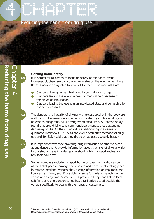

Chapter 4

#### **Getting home safely**

It is natural for all parties to focus on safety at the dance event. However, clubbers are particularly vulnerable on the way home where there is no-one designated to look out for them. The main risks are:

- Clubbers driving home intoxicated through drink or drugs
- Clubbers leaving the event in need of medical help because of their level of intoxication
- Clubbers leaving the event in an intoxicated state and vulnerable to accident or assault

The dangers and illegality of driving with excess alcohol in the body are well known. However, driving when intoxicated by controlled drugs is at least as dangerous, as is driving when exhausted. A Scottish study found that drug-driving was commonplace amongst those attending dance/nightclubs. Of the 61 individuals participating in a series of qualitative interviews, 52 (85%) had ever driven after recreational drug use and 19 (31%) said that they did so on at least a weekly basis.<sup>26</sup>

**4.30** It is important that those providing drug information or other services at any dance event, provide information about the risks of driving while intoxicated and are knowledgeable about public transport routes and reputable taxi firms.

**4.31** Some promoters include transport home by coach or minibus as part of the ticket price or arrange for buses to and from events taking place in remote locations. Venues should carry information on reputable and licensed taxi firms, and, if possible, arrange for taxis to be outside the venue at closing time. Some venues provide a freephone link to local cab firms and one London venue has a taxi office based outside the venue specifically to deal with the needs of customers.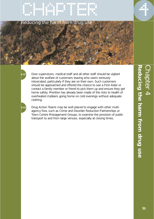

**4.32** Door supervisors, medical staff and all other staff should be vigilant about the welfare of customers leaving who seem seriously intoxicated, particularly if they are on their own. Such customers should be approached and offered the chance to see a First Aider or contact a family member or friend to pick them up and ensure they get home safely. Mention has already been made of the risks to health of overheated clubbers going home on cold evenings without adequate clothing.

**4.33** Drug Action Teams may be well placed to engage with other multiagency fora, such as Crime and Disorder Reduction Partnerships or Town Centre Management Groups, to examine the provision of public transport to and from large venues, especially at closing times.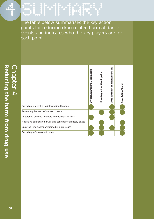The table below summarises the key action points for reducing drug related harm at dance events and indicates who the key players are for each point.

SUM PRODUCED PRODUCED PRODUCED PRODUCED PRODUCED PRODUCED PRODUCED PRODUCED PRODUCED PRODUCED PRODUCED PRODUCE<br>SUMMARY PRODUCED PRODUCED PRODUCED PRODUCED PRODUCED PRODUCED PRODUCED PRODUCED PRODUCED PRODUCED PRODUCED PRO<br>

|                                                           | promoters<br>త<br>Owners, managers | police<br>ઌ<br>authorities<br>Licensing | services<br>medical<br>ŏ<br>outreach<br>Drug | <b>Action Teams</b><br>Drug |
|-----------------------------------------------------------|------------------------------------|-----------------------------------------|----------------------------------------------|-----------------------------|
| Providing relevant drug information literature            |                                    |                                         |                                              |                             |
| Promoting the work of outreach teams                      |                                    |                                         |                                              |                             |
| Integrating outreach workers into venue staff team        |                                    |                                         |                                              |                             |
| Analysing confiscated drugs and contents of amnesty boxes |                                    |                                         |                                              |                             |
| Ensuring First Aiders are trained in drug issues          |                                    |                                         |                                              |                             |
| Providing safe transport home                             |                                    |                                         |                                              |                             |

Т

Т Τ Τ Τ T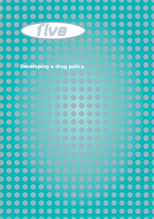$\bullet$  $\bullet\bullet\bullet$  $\bullet$  $\bullet$  $\bullet$ **.... CO**  $\bullet$  $\bullet$  $\bullet$ ...  $\bullet$  $\bullet$  $\bullet$  $\bullet$   $\bullet$  $\bullet$  $\bullet$ ....  $\bullet$  $\bullet$  $\bullet$  $\bullet$  $\bullet$  $\bullet$  $\bullet$  $\bullet$  $\bullet$ D  $\bigodot$  $\bigcirc$  $\qquad \qquad \bullet$  $\bullet$  $\Box$  $\bullet$  $\bullet$  $\bullet$  $\blacksquare$  $(\Box)$ *five*  $\bullet$  $\bullet$  $\bullet$ O  $\bullet$  $\bullet$  $\bullet$ D  $\bullet$  $\bullet$  $\bullet$  $\qquad \qquad \bullet$  $\qquad \qquad \bullet$  $\qquad \qquad \Box$  $\bigcap$  $\bullet$ D  $\blacksquare$  $\bullet$  $\Box$  $\qquad \qquad \bullet$  $\bullet$ D  $\bullet$  $\bullet$  $\qquad \qquad \bullet$ **Developing a drug policy** $\bullet$  $\bigcirc$  $\bullet$  $\bullet$ Đ DO  $\bullet\bullet\bullet\bullet\bullet$  $\bigcirc$  $\bullet$  $\blacktriangleright$  $\blacksquare$  $\bigodot$  $\bullet$  $\Box$  $\bigcirc$  $\bigodot$  $\blacksquare$ D  $\blacksquare$ O  $\bullet$ D  $\bigodot$  $\blacksquare$  $\Box$  $\bigodot$ D  $\blacksquare$  $\bullet$  $\bigodot$  $\mathcal{L}$ D  $\bullet$  $\qquad \qquad \bullet$  $\bigodot$  $\bullet$  $\bigcirc$  $\bullet$ D  $\bullet$  $\bigodot$  $\bullet$  $\begin{array}{c} \begin{array}{c} \begin{array}{c} \end{array} \end{array} \end{array}$ D  $\bullet$  $\bigodot$  $\overline{\mathcal{C}}$  $\qquad \qquad \bullet$ D  $\bullet$ D  $\bullet$  $\blacksquare$  $\qquad \qquad \bullet$ D  $\blacksquare$  $\begin{pmatrix} 1 \\ 1 \end{pmatrix}$  $\blacksquare$  $\qquad \qquad \Box$  $\qquad \qquad \bullet$  $\bigodot$  $\bullet$  $\blacksquare$  $\blacksquare$  $\bullet$  $(\hspace{2pt}\Box)$  $(\Box)$ D  $\bullet$ D  $\blacksquare$  $\overline{\phantom{a}}$  $\overline{\phantom{a}}$  $\qquad \qquad \bullet$  $\blacksquare$ ra d  $(\ )$  $\bigodot$  $\bullet$  $\bigodot$  $\bullet$  $\bigcirc$  $\bullet$ D  $\left( \begin{array}{c} \rule{0.2cm}{0.15mm} \rule{0.2cm}{0.15mm} \rule{0.2cm}{0.15mm} \rule{0.2cm}{0.15mm} \rule{0.2cm}{0.15mm} \rule{0.2cm}{0.15mm} \rule{0.2cm}{0.15mm} \rule{0.2cm}{0.15mm} \rule{0.2cm}{0.15mm} \rule{0.2cm}{0.15mm} \rule{0.2cm}{0.15mm} \rule{0.2cm}{0.15mm} \rule{0.2cm}{0.15mm} \rule{0.2cm}{0.15mm} \rule{0.2cm}{0.15mm}$  $\begin{pmatrix} 1 \\ 1 \end{pmatrix}$  $\qquad \qquad$  $\bigcirc$  $\blacksquare$  $\blacksquare$  $\Box$  $\qquad \qquad \bullet$ C  $\left( \begin{array}{c} \end{array} \right)$  $\left( \begin{array}{c} \end{array} \right)$  $(\ \ )$  $\blacksquare$  $\blacksquare$  $\bigodot$  $\bullet$  $\bullet$  $\bigodot$  $\bigodot$  $\begin{pmatrix} 1 \\ 1 \end{pmatrix}$  $\qquad \qquad \bullet$  $\begin{pmatrix} 1 \\ 1 \end{pmatrix}$  $\qquad \qquad \bullet$  $\bullet$ D  $\overline{\phantom{0}}$  $\begin{pmatrix} 1 & 1 \\ 1 & 1 \end{pmatrix}$  $\qquad \qquad$  $\qquad \qquad$  $\qquad \qquad$ D **53**  $\qquad \qquad \bullet$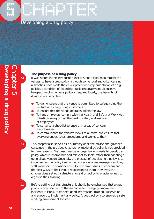

## CHAPTER CHAPTER Developing a drug policy



#### **The purpose of a drug policy**

**5.1** It was stated in the introduction that it is not a legal requirement for venues to have a drug policy, although some local authority licensing authorities have made the development and implementation of drug policies a condition of awarding Public Entertainment Licences<sup>27</sup>. Irrespective of whether a policy is required locally, the benefits of doing so are very clear:

- To demonstrate that the venue is committed to safeguarding the welfare of its drug using customers
- To ensure that the venue operates within the law
- To help employers comply with the Health and Safety at Work Act (1974) by safeguarding the health, safety and welfare of employees
- To serve as a checklist to ensure all areas of concern are addressed
- To communicate the venue's views to all staff, and ensure that everyone understands procedures and works to them

**5.2** This chapter also serves as a summary of all the advice and guidance contained in the previous chapters. A model drug policy is not provided for two reasons. First, each venue or organisation needs to develop a policy which is appropriate and relevant to itself, rather than adopting a generalised version. Secondly, the process of developing a policy is as important as the policy itself – the process enables managers and key staff members to consider carefully particular issues of concern and the best ways of their venue responding to them. However, the chapter does set out a structure for a drug policy to enable venues to organise their thinking.

**5.3** Before setting out this structure, it should be emphasised that a drug policy is only one part of the response to managing drug-related incidents in clubs. Staff need good information, training, supervision and support to implement any policy. A good policy also ensures a safe working environment for staff.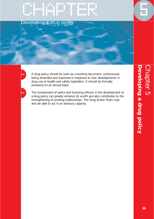## EMPLE DE L'ARTISTE Developing a drug policy

**5.4** A drug policy should be seen as a working document, continuously being amended and improved in response to new developments in drug use or health and safety legislation. It should be formally reviewed on an annual basis.

**5.5** The involvement of police and licensing officers in the development of a drug policy can greatly enhance its worth and also contributes to the strengthening of working relationships. The Drug Action Team may also be able to act in an advisory capacity.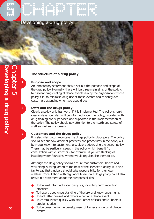



Developing a drug policy

# Developing a drug policy **Developing a drug policy** Chapter 5

#### **The structure of a drug policy**

#### **1 Purpose and scope**

An introductory statement should set out the purpose and scope of the drug policy. Normally, there will be three main aims of the policy: to prevent drug dealing at dance events run by the organisation whose policy it is, to minimise drug use at those events and to safeguard customers attending who have used drugs.

#### **2 Staff and the drugs policy**

Clearly a policy only has worth if it is implemented. The policy should clearly state how staff will be informed about the policy, provided with drug training and supervised and supported in the implementation of the policy. The policy should pay attention to the health and safety of staff as well as customers.

#### **3 Customers and the drugs policy**

It is also vital to communicate the drugs policy to club-goers. The policy should set out how different practices and procedures in the policy will be made known to customers, e.g. clearly advertising the search policy. There may be particular issues in the policy which benefit from consultation with customers – for example, if you are thinking of installing water fountains, where would regulars like them to be.

Although the drug policy should ensure that customers' health and well-being is safeguarded to the best of the licensee's ability, it is also fair to say that clubbers should take responsibility for their own welfare. Consultation with regular clubbers on a drugs policy could also result in a statement about their responsibilities:

- To be well informed about drug use, including harm reduction practices
- To have a good understanding of the law and know one's rights
- To look after oneself and others when at a dance event
- To communicate quickly with staff, other officials and clubbers if problems arise
- To be proactive in the development of better standards at dance events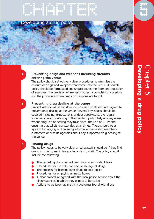## CHAPTER CHAPTER





#### **4 Preventing drugs and weapons including firearms entering the venue**

The policy should set out very clear procedures to minimise the amount of drugs and weapons that come into the venue. A search policy should be formulated and should cover, the form and regularity of searches, the provision of amnesty boxes, a complaints procedure and the procedure when drugs or weapons are found.

#### **5 Preventing drug dealing at the venue**

Procedures should be laid down to ensure that all staff are vigilant to prevent drug dealing at the venue. Several key issues should be covered including: expectations of door supervisors, the regular supervision and monitoring of the building, particularly any key areas where drug use or dealing may take place, the use of CCTV and ensuring that toilets are attended at all times. There should be a system for logging and pursuing information from staff members, customers or outside agencies about any suspected drug dealing at the venue.

#### **6 Finding drugs**

The policy needs to be very clear on what staff should do if they find drugs in order to minimise any legal risk to staff. The policy should include the following:

- The recording of suspected drug finds in an incident book
- Procedures for the safe and secure storage of drugs
- The process for handing over drugs to local police
- Procedures for emptying amnesty boxes
- A clear procedure agreed with the local police service about the circumstances in which they expect to be called
- Actions to be taken against any customer found with drugs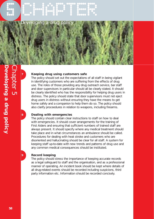

#### **7 Keeping drug using customers safe**

The policy should set out the expectations of all staff in being vigilant in identifying customers who are suffering from the effects of drug use. The roles of those providing any drug outreach service, bar staff and door supervisors in particular should all be clearly stated. It should be clearly identified who has the responsibility for helping drug users in distress. The policy should state that door supervisors must not eject drug users in distress without ensuring they have the means to get home safely and a companion to help them do so. The policy should also clarify proceedures in relation to weapons, including firearms.

#### **8 Dealing with emergencies**

The policy should contain clear instructions to staff on how to deal with emergencies. It should cover arrangements for the training of First Aiders and ensuring that sufficient numbers of trained staff are always present. It should specify where any medical treatment should take place and in what circumstances an ambulance should be called. Procedures for dealing with heat stroke and customers who are disoriented and hallucinating should be clear for all staff. A system for keeping staff up-to-date with new trends and patterns of drug use and any common medical consequences should be instituted.

#### **9 Record keeping**

The policy should stress the importance of keeping accurate records as a legal safeguard to staff and the organisation, and as a professional manner of operating. An incident book should be kept where details of all drug-related events should be recorded including suspicions, third party information etc. Information should be recorded concisely.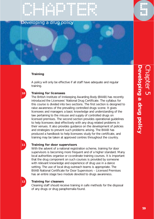

#### **Training**

A policy will only be effective if all staff have adequate and regular training.

#### **10 Training for licensees**

The British Institute of Innkeeping Awarding Body (BIIAB) has recently introduced the Licensees' National Drug Certificate. The syllabus for this course is divided into two sections. The first section is designed to raise awareness of the prevailing controlled drugs scene. It gives licensees and managers a basic knowledge and understanding of the law pertaining to the misuse and supply of controlled drugs on licensed premises. The second section provides operational guidelines to help licensees deal effectively with any drug related problems in their venues. It also provides guidance on the development of policies and strategies to prevent such problems arising. The BIIAB has produced a handbook to help licensees study for the certificate, and training may be taken at approved centres throughout the country.

#### **11 Training for door supervisors**

With the advent of a national registration scheme, training for door supervisors is becoming more frequent and of a higher standard. Many local authorities organise or co-ordinate training courses. It is important that the drug component on such courses is provided by someone with relevant knowledge and experience of drug use in a dance setting. The use of local drug outreach teams is appropriate. The BIIAB National Certificate for Door Supervisors – Licensed Premises has an entire stage two module devoted to drugs awareness.

#### **12 Training for cleaners**

Cleaning staff should receive training in safe methods for the disposal of any drugs or drug paraphernalia found.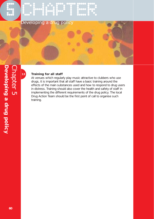

#### **13 Training for all staff**

At venues which regularly play music attractive to clubbers who use drugs, it is important that all staff have a basic training around the effects of the main substances used and how to respond to drug users in distress. Training should also cover the health and safety of staff in implementing the different requirements of the drug policy. The local Drug Action Team should be the first point of call to organise such training.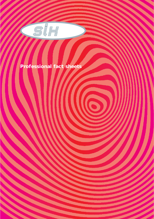

### **Professional fact sheets**

III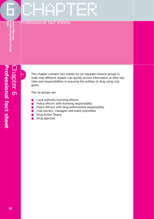## CHAPTER CHAPTER Professional fact sheets

**6.1** This chapter contains fact sheets for six separate interest groups in order that different readers can quickly access information on their key roles and responsibilities in ensuring the welfare of drug using club goers.

The six groups are:

- Local authority licensing officers
- Police officers with licensing responsibility
- Police officers with drug enforcement responsibility
- Club owners, managers and event promoters
- **Drug Action Teams**
- Drug agencies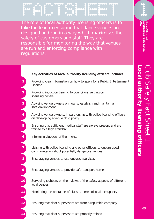FACTSHEET 1 The role of local authority licensing officers is to

take the lead in ensuring that dance venues are designed and run in a way which maximises the safety of customers and staff. They are responsible for monitoring the way that venues are run and enforcing compliance with regulations.

#### **Key activities of local authority licensing officers include:**

- **1** Providing clear information on how to apply for a Public Entertainment Licence
- **2** Providing induction training to councillors serving on licensing panels
- **3** Advising venue owners on how to establish and maintain a safe environment
- **4** Advising venue owners, in partnership with police licensing officers, on developing a venue drug policy
- **5** Ensuring that sufficient medical staff are always present and are trained to a high standard
- **6** Informing clubbers of their rights
- **7** Liaising with police licensing and other officers to ensure good communication about potentially dangerous venues
- **8** Encouraging venues to use outreach services
- **9** Encouraging venues to provide safe transport home
- **10** Surveying clubbers on their views of the safety aspects of different local venues
- **11** Monitoring the operation of clubs at times of peak occupancy
- **12** Ensuring that door supervisors are from a reputable company

**13** Ensuring that door supervisors are properly trained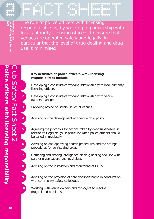**2006** Office and<br>
London Drug Policy Forum<br>
2002 **London Drug Policy Forum Home Office and** 

2002 | 2000 | 2000 | 2000 | 2000 | 2000 | 2000 | 2000 | 2000 | 2000 | 2000 | 2000 | 2000 | 2000 | 2000 | 2000 <br>2000 | 2000 | 2000 | 2000 | 2000 | 2000 | 2000 | 2000 | 2000 | 2000 | 2000 | 2000 | 2000 | 2000 | 2000 | 2000<br>2 The role of police officers with licensing responsibilities is, by working in partnership with local authority licensing officers, to ensure that venues are operated safely and legally, in particular that the level of drug dealing and drug use is minimised.

#### **Key activities of police officers with licensing responsibilities include:**

**1** Developing a constructive working relationship with local authority licensing officers

**2** Developing a constructive working relationship with venue owners/managers

**3** Providing advice on safety issues at venues

**4** Advising on the development of a venue drug policy

**5** Agreeing the protocols for actions taken by door supervisors in relation to illegal drugs, in particular when police officers should be called immediately

**6** Advising on and approving search procedures and the storage procedures for confiscated drugs

**7** Gathering and sharing intelligence on drug dealing and use with partner organisations and local clubs

**8** Advising on the installation and monitoring of CCTV

**9** Advising on the provision of safe transport home in consultation with community safety colleagues

**10** Working with venue owners and managers to resolve drug-related problems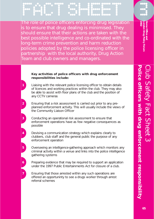Factor of the state of the state of the state of the state of the state of the state of the state of the state<br>Factor of the state of the state of the state of the state of the state of the state of the state of the state<br> The role of police officers enforcing drug legislation is to ensure that drug dealing is minimised. They should ensure that their actions are taken with the best possible intelligence and co-ordinated with the long-term crime prevention and harm reduction policies adopted by the police licensing officer in partnership with the local authority, Drug Action Team and club owners and managers.

#### **Key activities of police officers with drug enforcement responsibilities include:**

**1** Liaising with the relevant police licensing officer to obtain details of licences and working practices within the club. They may also be able to assist with floor plans of the club and the position of any CCTV cameras

- **2** Ensuring that a risk assessment is carried out prior to any preplanned enforcement activity. This will usually include the views of the Community Liaison Officer
- **3** Conducting an operational risk assessment to ensure that enforcement operations have as few negative consequences as possible
- **4** Devising a communication strategy which explains clearly to clubbers, club staff and the general public the purpose of any enforcement operation
- **5** Overseeing an intelligence-gathering approach which monitors any criminal activity within a venue and links into the police intelligence gathering systems
- **6** Preparing evidence that may be required to support an application under the 1997 Public Entertainments Act for closure of a club.
- **7** Ensuring that those arrested within any such operations are offered an opportuninty to see a drugs worker through arrest referral schemes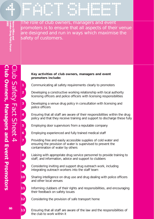$\begin{bmatrix} 1 & 1 & 1 \\ 1 & 1 & 1 \\ 1 & 1 & 1 \\ 1 & 1 & 1 \\ 1 & 1 & 1 \\ 1 & 1 & 1 \\ 1 & 1 & 1 \\ 1 & 1 & 1 \\ 1 & 1 & 1 \\ 1 & 1 & 1 \\ 1 & 1 & 1 \\ 1 & 1 & 1 \\ 1 & 1 & 1 \\ 1 & 1 & 1 \\ 1 & 1 & 1 \\ 1 & 1 & 1 \\ 1 & 1 & 1 \\ 1 & 1 & 1 \\ 1 & 1 & 1 \\ 1 & 1 & 1 \\ 1 & 1 & 1 \\ 1 & 1 & 1 \\ 1 & 1 & 1 \\ 1 & 1 &$ The role of club owners, managers and event promoters is to ensure that all aspects of their venue are designed and run in ways which maximise the safety of customers.

#### **Key activities of club owners, managers and event promoters include:**

**1** Communicating all safety requirements clearly to promoters

**2** Developing a constructive working relationship with local authority licensing officers and police officers with licensing responsibilities

**3** Developing a venue drug policy in consultation with licensing and police officers

**4** Ensuring that all staff are aware of their responsibilities within the drug policy and that they receive training and support to discharge these fully

**5** Employing door supervisors from a reputable company

**6** Employing experienced and fully trained medical staff

**7** Providing free and easily accessible supplies of cold water and ensuring the provision of water is supervised to prevent the contamination of water by others

**8** Liaising with appropriate drug service personnel to provide training to staff, and information, advice and support to clubbers

**9** Considering inviting and support drug outreach work, including integrating outreach workers into the staff team

**10** Sharing intelligence on drug use and drug dealing with police officers and other local venues

**11** Informing clubbers of their rights and responsibilities, and encouraging their feedback on safety issues

**12** Considering the provision of safe transport home

**13** Ensuring that all staff are aware of the law and the responsibilities of the club to work within it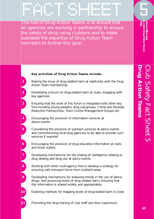$\begin{bmatrix} 1 & 1 & 1 \\ 1 & 1 & 1 \\ 1 & 1 & 1 \\ 1 & 1 & 1 \\ 1 & 1 & 1 \\ 1 & 1 & 1 \\ 1 & 1 & 1 \\ 1 & 1 & 1 \\ 1 & 1 & 1 \\ 1 & 1 & 1 \\ 1 & 1 & 1 \\ 1 & 1 & 1 \\ 1 & 1 & 1 \\ 1 & 1 & 1 \\ 1 & 1 & 1 \\ 1 & 1 & 1 \\ 1 & 1 & 1 \\ 1 & 1 & 1 \\ 1 & 1 & 1 \\ 1 & 1 & 1 \\ 1 & 1 & 1 \\ 1 & 1 & 1 \\ 1 & 1 & 1 \\ 1 & 1 &$ The role of Drug Action Teams is to ensure that all agencies are working in partnership to ensure the safety of drug using clubbers and to make available the expertise of Drug Action Team members to further this goal.

**2002**

**London Drug Policy Forum Home Office and** ondon Drug Policy Forum

# **Drug Action Teams** Club Safety Fact Sheet 5 rug Action Teams ub Safety Fact Sheet 5

#### **Key activities of Drug Action Teams include:**

- **1** Raising the issue of drug-related harm at nightclubs with the Drug Action Team membership
- **2** Developing a forum on drug-related harm at clubs, engaging with key agencies
- **3** Ensuring that the work of this forum is integrated with other key fora including young people's drug sub-groups, Crime and Disorder Reduction Partnerships, Town Centre Management Groups etc.
- **4** Encouraging the provision of information services at dance events
- **5** Considering the provision of outreach services at dance events and commissioning local drug agencies to be able to provide such services if required
- **6** Encouraging the provision of drug education information at clubs and ticket outlets
- **7** Developing mechanisms for the sharing of intelligence relating to drug dealing and drug use at dance events
	- Working with other multi-agency fora to develop a strategy for ensuring safe transport home from clubland areas

**8**

- **9** Developing mechanisms for analysing trends in the use of dance drugs, and assessing levels of drug related harm, ensuring that this information is shared widely and appropriately
- **10** Exploring methods for mapping levels of drug-related harm in clubs
- **11** Promoting the drug training of club staff and door supervisors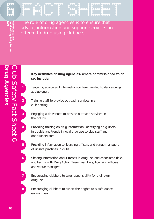**2002**<br>London Drug Policy Forum<br>2002<br>2002 **London Drug Policy Forum Home Office and** 

 $\begin{bmatrix} 1 & 1 & 1 \\ 1 & 1 & 1 \\ 1 & 1 & 1 \\ 1 & 1 & 1 \\ 1 & 1 & 1 \\ 1 & 1 & 1 \\ 1 & 1 & 1 \\ 1 & 1 & 1 \\ 1 & 1 & 1 \\ 1 & 1 & 1 \\ 1 & 1 & 1 \\ 1 & 1 & 1 \\ 1 & 1 & 1 \\ 1 & 1 & 1 \\ 1 & 1 & 1 \\ 1 & 1 & 1 \\ 1 & 1 & 1 \\ 1 & 1 & 1 \\ 1 & 1 & 1 \\ 1 & 1 & 1 \\ 1 & 1 & 1 \\ 1 & 1 & 1 \\ 1 & 1 & 1 \\ 1 & 1 &$ The role of drug agencies is to ensure that advice, information and support services are offered to drug using clubbers.

#### **Key activities of drug agencies, where commissioned to do so, include:**

**1** Targeting advice and information on harm related to dance drugs at club-goers

**2** Training staff to provide outreach services in a club setting

**3** Engaging with venues to provide outreach services in their clubs

**4** Providing training on drug information, identifying drug users in trouble and trends in local drug use to club staff and door supervisors

**5** Providing information to licensing officers and venue managers of unsafe practices in clubs

**6** Sharing information about trends in drug use and associated risks and harms with Drug Action Team members, licensing officers and venue managers

**7** Encouraging clubbers to take responsibility for their own drug use

**8** Encouraging clubbers to assert their rights to a safe dance environment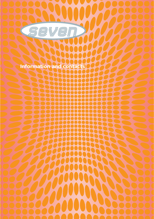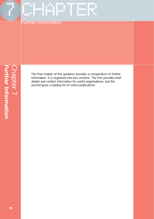### Further information

The final chapter of this guidance provides a compendium of further information. It is organised into two sections. The first provides brief details and contact information for useful organisations, and the second gives a reading list of useful publications.

CHAPTER COOPER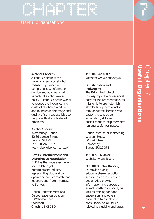#### Useful organisations

EMPLE DE CHAPTER POR CHAPTER DE CHAPTER DE CHAPTER DE CHAPTER DE CHAPTER DE CHAPTER DE CHAPTER DE CHAPTER DE C<br>CHAPTER DE CHAPTER DE CHAPTER DE CHAPTER DE CHAPTER DE CHAPTER DE CHAPTER DE CHAPTER DE CHAPTER DE CHAPTER DE<br>C

#### **Alcohol Concern**

Alcohol Concern is the national agency on alcohol misuse. It provides a comprehensive information service and advises on all aspects of alcohol related policy. Alcohol Concern works to reduce the incidence and costs of alcohol-related harm and to increase the range and quality of services available to people with alcohol-related problems.

Alcohol Concern Waterbridge House 32-36 Loman Street London SE1 0EE Tel: 020 7928 7377 www.alcoholconcern.org.uk

#### **British Entertainment and Discotheque Association**

BEDA is the trade association for the late night entertainment industry representing club and bar operators, both corporate and independent, from Inverness to St. Ives.

British Entertainment and Discotheque Association 5 Waterloo Road **Stockport** Cheshire SK1 3BD

Tel: 0161 4290012 website: www.beda.org.uk

#### **British Institute of Innkeeping**

The British Institute of Innkeeping is the professional body for the licensed trade. Its mission is to promote high standards of professionalism throughout the licensed retail sector and to provide information, skills and qualifications to help members run successful businesses.

British Institute of Innkeeping Wessex House 80 Park Street **Camberley** Surrey GUI15 3PT

Tel: 01276 684449 Website: www.bii.org

#### **D.CUBED Safer Dancing**

D<sup>3</sup> provide a drug education/harm reduction service to dance events in Leeds. Also provide information and support on sexual health to clubbers, as well as training for door supervisors and others connected to events and consultancy on all issues related to clubbing and drugs.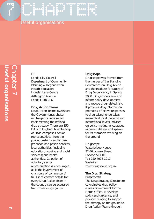#### Useful organisations

CHAPTER CHAPTER

#### $D<sup>3</sup>$

Leeds City Council Department of Community Planning & Regeneration Health Education Hunslet Lake Centre Arthington Avenue Leeds LS10 2LU

#### **Drug Action Teams**

Drug Action Teams (DATs) are the Government's chosen multi-agency vehicles for implementing the national drug strategy. There are 150 DATs in England. Membership of DATs comprises senior representatives from the police, customs and excise, probation and prison services, local authorities (including education, housing and social services) and health authorities. Co-option of voluntary sector representation is encouraged, as is the involvement of chambers of commerce. A full list of contact details for every Drug Action Team in the country can be accessed from www.drugs.gov.uk

#### **Drugscope**

Drugscope was formed from the merger of the Standing Conference on Drug Abuse and the Institute for Study of Drug Dependency in Spring 2000. Drugscope's aim is to inform policy development and reduce drug-related risk. It provides drug information, promotes effective responses to drug taking, undertakes research at local, national and international levels, advises on policy-making, encourages informed debate and speaks for its members working on the ground.

Drugscope Waterbridge House 32-36 Loman Street London SE1 0EE Tel: 020 7928 1211 Website: www.drugscope.org.uk

#### **The Drug Strategy Directorate**

The Drug Strategy Directorate co-ordinates drug policy across Government for the Home Office. It develops policy and guidance, and provides funding to support the strategy on the ground to Drug Action Teams through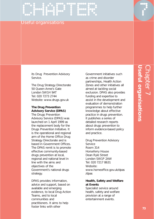#### Useful organisations

CHAPTER CHAPTER

its Drug Prevention Advisory Service.

The Drug Strategy Directorate 50 Queen Anne's Gate London SW1H 9AT Tel: 020 7273 2744 Website: www.drugs.gov.uk

#### **The Drug Prevention Advisory Service (DPAS)**

The Drugs Prevention Advisory Service (DPAS) was launched on 1 April 1999 as the replacement body for the Drugs Prevention Initiative. It is the operational and regional arm of the Home Office Drug Strategy Directorate and is based in Government Offices. The DPAS remit is to promote effective community-based drugs prevention at local, regional and national level in line with the aims and objectives of the Government's national drugs strategy.

DPAS provides information, advice and support, based on available and emerging evidence, to local Drug Action Teams, and to local communities and practitioners. It aims to help foster links with other

Government initiatives such as crime and disorder partnerships, Health Action Zones and other initiatives all aimed at tackling social exclusion. DPAS also provides funding and expertise to assist in the development and evaluation of demonstration programmes to help further knowledge about effective practice in drugs prevention. It publishes a series of detailed research reports about drugs prevention to inform evidence-based policy and practice.

Drug Prevention Advisory Service Room 314 Horseferry House Dean Ryle Street London SW1P 2AW Tel: 020 7217 8631 Website: www.homeoffice.gov.uk/dpas /dpas

#### **Health, Safety and Welfare at Events**

Specialist service around health, safety and welfare provision at a range of entertainment events.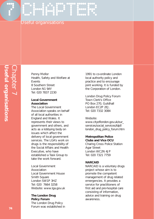## CHAPTER CHAPTER Useful organisations

Penny Mellor Health, Safety and Welfare at Events 8 Southern Street London N1 9AY Tel: 020 7837 2230

#### **Local Government Association**

The Local Government Association speaks on behalf of all local authorities in England and Wales. It represents their views to government and others, and acts as a lobbying body on issues which affect the delivery of local government services. The LGA's work on drugs is the responsibility of the Social Affairs and Health Executive, who have established a Task Group to take the work forward.

Local Government Association Local Government House Smith Square London SW1P 3HZ Tel: 020 7664 3258 Website: www.lga.gov.uk

#### **The London Drug Policy Forum**

The London Drug Policy Forum was established in

1991 to co-ordinate London local authority policy and practice and to encourage joint working. It is funded by the Corporation of London.

London Drug Policy Forum Town Clerk's Office PO Box 270, Guildhall London EC2P 2EJ. Tel: 020 7332 3084

#### Website:

www.cityoflondon.gov.uk/our\_ services/social\_services/ldpf/ london\_drug\_policy\_forum.htm

#### **Metropolitan Police Clubs and Vice OCU**

Charing Cross Police Station Agar Street London WC2N 4JP Tel: 020 7321 7759

#### **NARCAID**

NARCAID is a voluntary drugs project whose aim is to promote the competent management of drug related emergencies. It provides a service for practitioners of first aid and pre-hospital care consisting of information, advice and training on drug awareness.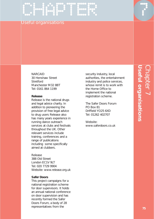#### Useful organisations

CHAPTER CHAPTER

NARCAID 30 Henshaw Street **Stretford** Manchester M32 8BT Tel: 0161 864 1199

#### **Release**

Release is the national drugs and legal advice charity. In addition to pioneering the provision of free legal advice to drug users Release also has many years experience in running dance outreach services at clubs and festivals throughout the UK. Other relevant services include training, conferences and a range of publications including some specifically aimed at clubbers.

Release 388 Old Street London EC1V 9LT Tel: 020 7729 9904 Website: www.release.org.uk

#### **Safer Doors**

This project campaigns for a national registration scheme for door supervisors. It holds an annual national conference on door supervision and has recently formed the Safer Doors Forum, a body of 28 representatives from the

security industry, local authorities, the entertainment industry and police services, whose remit is to work with the Home Office to implement the national registration scheme.

The Safer Doors Forum PO Box 81 Driffield YO25 6XD Tel: 01262 402707

Website: www.saferdoors.co.uk

# **Useful organisations** Chapter 7 **Jseful organisations**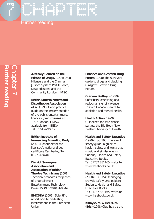## CHAPTER CHAPTER Further reading

#### **Advisory Council on the**

**Misuse of Drugs,** (1994) Drug Misusers and the Criminal Justice System Part II Police, Drug Misusers and the Community London; HMSO

#### **British Entertainment and Discotheque Association**

**et al.** (1998) Good practice guide on the implementation of the public entertainments licences (drug misuse) act 1997 London; HMSO – available from BEDA Tel: 0161 4290012.

#### **British Institute of Innkeeping Awarding Body**

(2001) Handbook for the licensee's national drugs certificate Camberley, Tel: 01276 684449

#### **District Surveyors Association and Association of British Theatre Technicians** (2001)

Technical standards for places of entertainment Entertainment Technology Press (ISBN 1-904031-05-6)

**EMCDDA** (2001) Scientific report on-site pill-testing interventions in the European Union

#### **Enhance and Scottish Drug**

**Forum** (1998) The survivors' guide to drugs and clubbing Glasgow; Scottish Drug Forum.

#### **Graham, Kathryn** (1999) Safer bars: assessing and reducing risks of violence Toronto Canada; Centre for addiction and mental health.

#### **Health Action** (1999)

Guidelines for safe dance parties: the Big Book New Zealand; Ministry of Health.

#### **Health and Safety Executive**

(1999) HSG 195: The event safety guide: a guide to health, safety and welfare at music and similar events Sudbury, Health and Safety Executive Books. Tel: 01787 881165, website: www.hsebooks.co.uk

#### **Health and Safety Executive**

(2000) HSG 154: Managing crowds safely (2nd edition) Sudbury, Health and Safety Executive Books. Tel: 01787 881165, website: www.hsebooks.co.uk

**Kilfoyle, M. & Bellis, M. (Eds)** (1998) Club health: the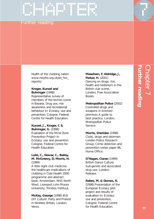#### Further reading

health of the clubbing nation www.nwpho.org.uk/ad\_hoc\_ reports/

ENTERED PRODUCED

#### **Kroger, Kunzel and Buhringer** (1998)

Representative survey of members of the techno scene in Bavaria. Drug use, risk awareness and recreational behaviour In: Ecstasy: use and prevention, Cologne; Federal Centre for Health Education.

#### **Kunzel, J., Kroger, C & Buhringer, G.** (1998) Evaluation of the Mind Zone

Prevention Project in: Ecstasy: use and prevention Cologne; Federal Centre for Health Education.

#### **Luke, C., Dewar, C., Bailey, M. McGreevy, D; Morris, H.** (1999)

A little night club medicine: the healthcare implications of clubbing in Club Health 2000 programme and abstract book, Amsterdam, NHS North West, Liverpool John Moore University; Trimbos Instituut.

**McKay, George** (1998) (Ed) DIY Culture: Party and Protest in Nineties Britain, London; Verso.

#### **Measham, F, Aldridge, J,**

**Parker, H.** (2001) Dancing on drugs: risk, health and hedonism in the British club scene, London; Free Association Books.

#### **Metropolitan Police** (2002)

Controlled drugs and weapons in licensed premises A guide to best practice, London; Metropolitan Police Service.

#### **Morris, Sheridan** (1998)

Clubs, drugs and doormen London Police Research Group, Crime detection and prevention series paper 86, Home Office.

#### **O'Hagan, Ciaran** (1999)

British Dance Culture: Sub-genres and associated drug use, London; Release.

#### **Rabes, M. & Domes, R.**

(1998) Presentation of the European Ecstasy pilot project and results of evaluation In: Ecstasy: use and prevention, Cologne; Federal Centre for Health Education.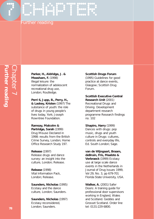#### Further reading

CHAPTER CHAPTER

**Parker, H., Aldridge, J. & Measham, F.** (1998) Illegal leisure: the normalization of adolescent recreational drug use, London; Routledge.

**Perri 6, Jupp, B., Perry, H., & Laskey, Kristen** (1997) The substance of youth: the role of drugs in young people's lives today, York; Joseph Rowntree Foundation.

#### **Ramsay, Malcolm &**

**Partridge, Sarah** (1999) Drug Misuse Declared in 1998: results from the British Crime Survey, London; Home Office Research Study 197.

#### **Release** (1997)

Release drugs and dance survey: an insight into the culture, London; Release.

**Release** (1998) Vital Information Pack, London; Release.

**Saunders, Nicholas** (1995) Ecstasy and the dance culture, London; Saunders.

**Saunders, Nicholas** (1997) Ecstasy reconsidered, London; Saunders.

#### **Scottish Drugs Forum**

(1995) Guidelines for good practice at dance events, Glasgow; Scottish Drug Forum.

#### **Scottish Executive Central Research Unit** (2001)

Recreational Drugs and Driving Development department research programme Research findings no. 102

#### **Shapiro, Harry** (1999)

Dances with drugs: pop music, drugs and youth culture in Drugs: cultures, controls and everyday life, Ed. South London; Sage.

#### **van de Wijngaart, Braam, deBruin, Fris, Maalste &**

**Verbraeck** (1999) Ecstasy use at large scale dance events in the Netherlands in Journal of Drug Issues 1999, Vol 29, No. 3, pp 679-701 Florida State University, USA.

**Walker, A.** (2001) Safer Doors: A training guide for professional door supervisors working in England, Wales and Scotland. Geddes and Grosset Scotland. Order line tel: 0131-229 6800.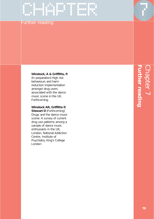## CHAPTER

#### Further reading

#### **Winstock, A & Griffiths, P.**

(In preparation) High risk behaviours and harm reduction implementation amongst drug users associated with the dance music scene in the UK. Forthcoming.

#### **Winstock AR, Griffiths P,**

**Stewart D** (Forthcoming) Drugs and the dance music scene: A survey of current drug use patterns among a sample of dance music enthusiasts in the UK, London, National Addiction Centre, Institute of Psychiatry, King's College London